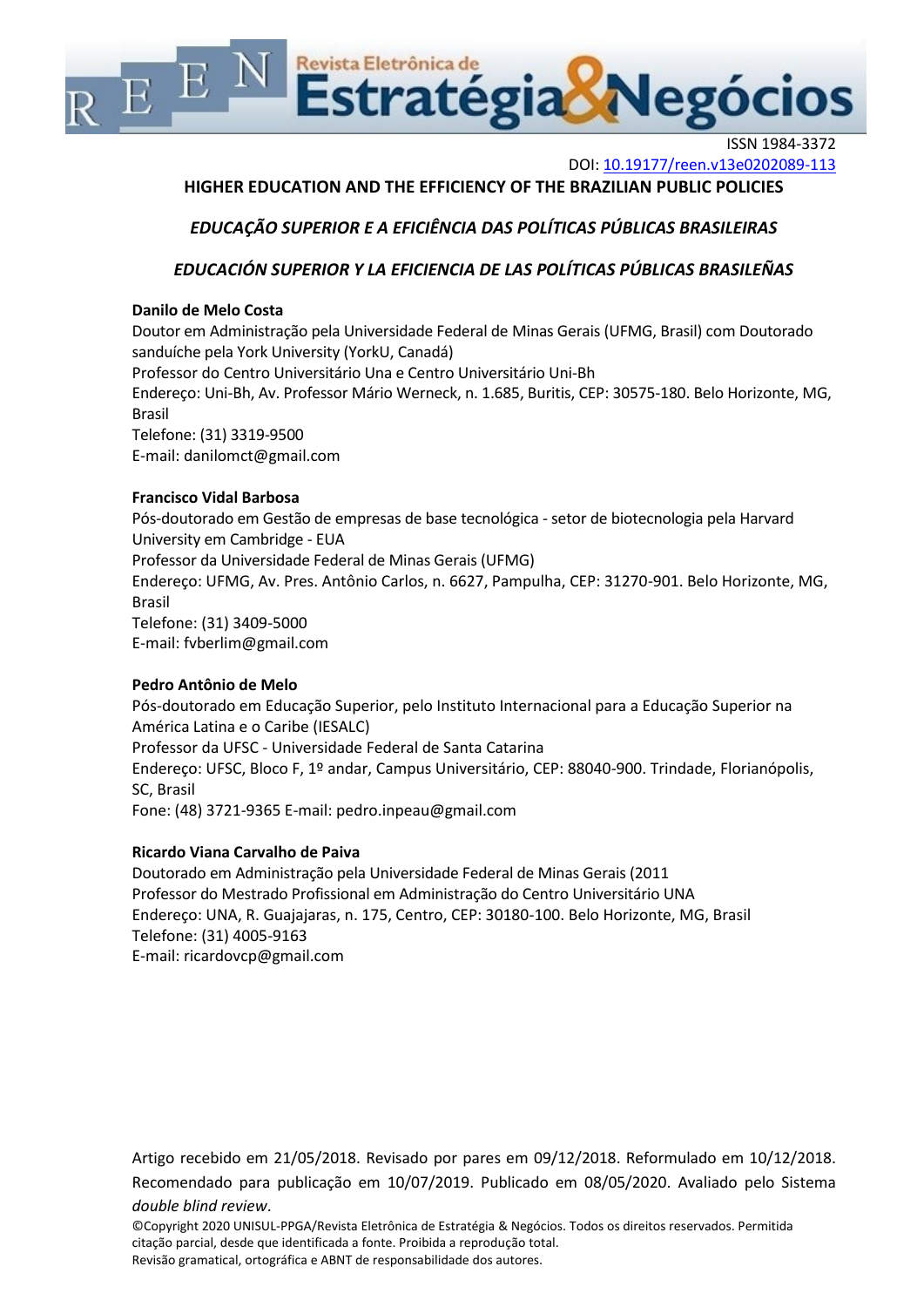

ISSN 1984-3372

DOI[: 10.19177/reen.v13e0202089-113](10.19177/reen.v13e0202089-113)

# **HIGHER EDUCATION AND THE EFFICIENCY OF THE BRAZILIAN PUBLIC POLICIES**

# *EDUCAÇÃO SUPERIOR E A EFICIÊNCIA DAS POLÍTICAS PÚBLICAS BRASILEIRAS*

# *EDUCACIÓN SUPERIOR Y LA EFICIENCIA DE LAS POLÍTICAS PÚBLICAS BRASILEÑAS*

## **Danilo de Melo Costa**

Doutor em Administração pela Universidade Federal de Minas Gerais (UFMG, Brasil) com Doutorado sanduíche pela York University (YorkU, Canadá) Professor do Centro Universitário Una e Centro Universitário Uni-Bh

Endereço: Uni-Bh, Av. Professor Mário Werneck, n. 1.685, Buritis, CEP: 30575-180. Belo Horizonte, MG, Brasil

Telefone: (31) 3319-9500 E-mail[: danilomct@gmail.com](mailto:danilomct@gmail.com)

## **Francisco Vidal Barbosa**

Pós-doutorado em Gestão de empresas de base tecnológica - setor de biotecnologia pela Harvard University em Cambridge - EUA Professor da Universidade Federal de Minas Gerais (UFMG) Endereço: UFMG, Av. Pres. Antônio Carlos, n. 6627, Pampulha, CEP: 31270-901. Belo Horizonte, MG, Brasil Telefone: (31) 3409-5000 E-mail[: fvberlim@gmail.com](mailto:fvberlim@gmail.com)

# **Pedro Antônio de Melo**

Pós-doutorado em Educação Superior, pelo Instituto Internacional para a Educação Superior na América Latina e o Caribe (IESALC) Professor da UFSC - Universidade Federal de Santa Catarina Endereço: UFSC, Bloco F, 1º andar, Campus Universitário, CEP: 88040-900. Trindade, Florianópolis, SC, Brasil Fone: (48) 3721-9365 E-mail[: pedro.inpeau@gmail.com](mailto:pedro.inpeau@gmail.com)

# **Ricardo Viana Carvalho de Paiva**

Doutorado em Administração pela Universidade Federal de Minas Gerais (2011 Professor do Mestrado Profissional em Administração do Centro Universitário UNA Endereço: UNA, R. Guajajaras, n. 175, Centro, CEP: 30180-100. Belo Horizonte, MG, Brasil Telefone: (31) 4005-9163 E-mail[: ricardovcp@gmail.com](mailto:ricardovcp@gmail.com)

Artigo recebido em 21/05/2018. Revisado por pares em 09/12/2018. Reformulado em 10/12/2018. Recomendado para publicação em 10/07/2019. Publicado em 08/05/2020. Avaliado pelo Sistema *double blind review*.

©Copyright 2020 UNISUL-PPGA/Revista Eletrônica de Estratégia & Negócios. Todos os direitos reservados. Permitida citação parcial, desde que identificada a fonte. Proibida a reprodução total. Revisão gramatical, ortográfica e ABNT de responsabilidade dos autores.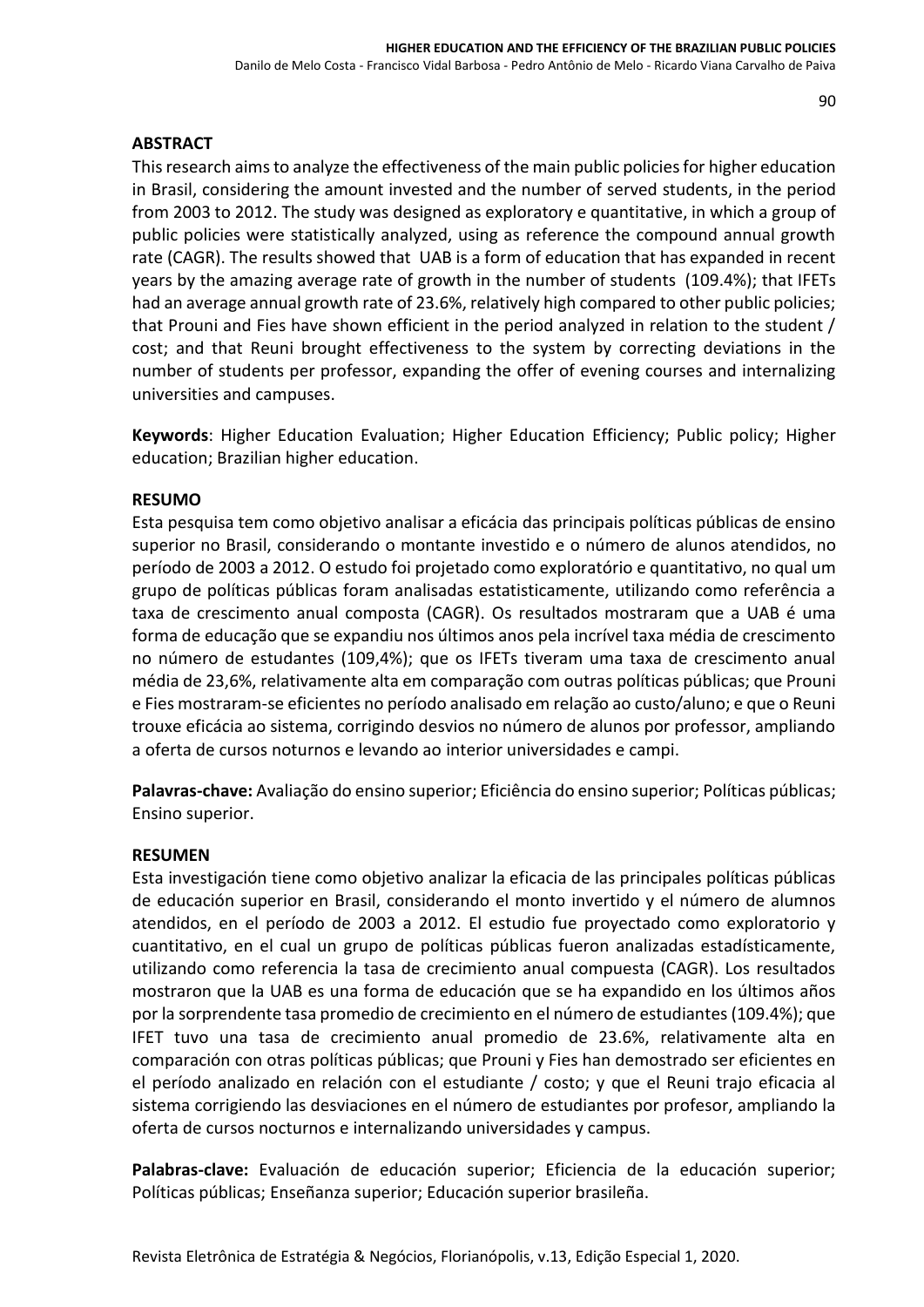### **ABSTRACT**

This research aims to analyze the effectiveness of the main public policies for higher education in Brasil, considering the amount invested and the number of served students, in the period from 2003 to 2012. The study was designed as exploratory e quantitative, in which a group of public policies were statistically analyzed, using as reference the compound annual growth rate (CAGR). The results showed that UAB is a form of education that has expanded in recent years by the amazing average rate of growth in the number of students (109.4%); that IFETs had an average annual growth rate of 23.6%, relatively high compared to other public policies; that Prouni and Fies have shown efficient in the period analyzed in relation to the student / cost; and that Reuni brought effectiveness to the system by correcting deviations in the number of students per professor, expanding the offer of evening courses and internalizing universities and campuses.

**Keywords**: Higher Education Evaluation; Higher Education Efficiency; Public policy; Higher education; Brazilian higher education.

### **RESUMO**

Esta pesquisa tem como objetivo analisar a eficácia das principais políticas públicas de ensino superior no Brasil, considerando o montante investido e o número de alunos atendidos, no período de 2003 a 2012. O estudo foi projetado como exploratório e quantitativo, no qual um grupo de políticas públicas foram analisadas estatisticamente, utilizando como referência a taxa de crescimento anual composta (CAGR). Os resultados mostraram que a UAB é uma forma de educação que se expandiu nos últimos anos pela incrível taxa média de crescimento no número de estudantes (109,4%); que os IFETs tiveram uma taxa de crescimento anual média de 23,6%, relativamente alta em comparação com outras políticas públicas; que Prouni e Fies mostraram-se eficientes no período analisado em relação ao custo/aluno; e que o Reuni trouxe eficácia ao sistema, corrigindo desvios no número de alunos por professor, ampliando a oferta de cursos noturnos e levando ao interior universidades e campi.

**Palavras-chave:** Avaliação do ensino superior; Eficiência do ensino superior; Políticas públicas; Ensino superior.

### **RESUMEN**

Esta investigación tiene como objetivo analizar la eficacia de las principales políticas públicas de educación superior en Brasil, considerando el monto invertido y el número de alumnos atendidos, en el período de 2003 a 2012. El estudio fue proyectado como exploratorio y cuantitativo, en el cual un grupo de políticas públicas fueron analizadas estadísticamente, utilizando como referencia la tasa de crecimiento anual compuesta (CAGR). Los resultados mostraron que la UAB es una forma de educación que se ha expandido en los últimos años por la sorprendente tasa promedio de crecimiento en el número de estudiantes (109.4%); que IFET tuvo una tasa de crecimiento anual promedio de 23.6%, relativamente alta en comparación con otras políticas públicas; que Prouni y Fies han demostrado ser eficientes en el período analizado en relación con el estudiante / costo; y que el Reuni trajo eficacia al sistema corrigiendo las desviaciones en el número de estudiantes por profesor, ampliando la oferta de cursos nocturnos e internalizando universidades y campus.

**Palabras-clave:** Evaluación de educación superior; Eficiencia de la educación superior; Políticas públicas; Enseñanza superior; Educación superior brasileña.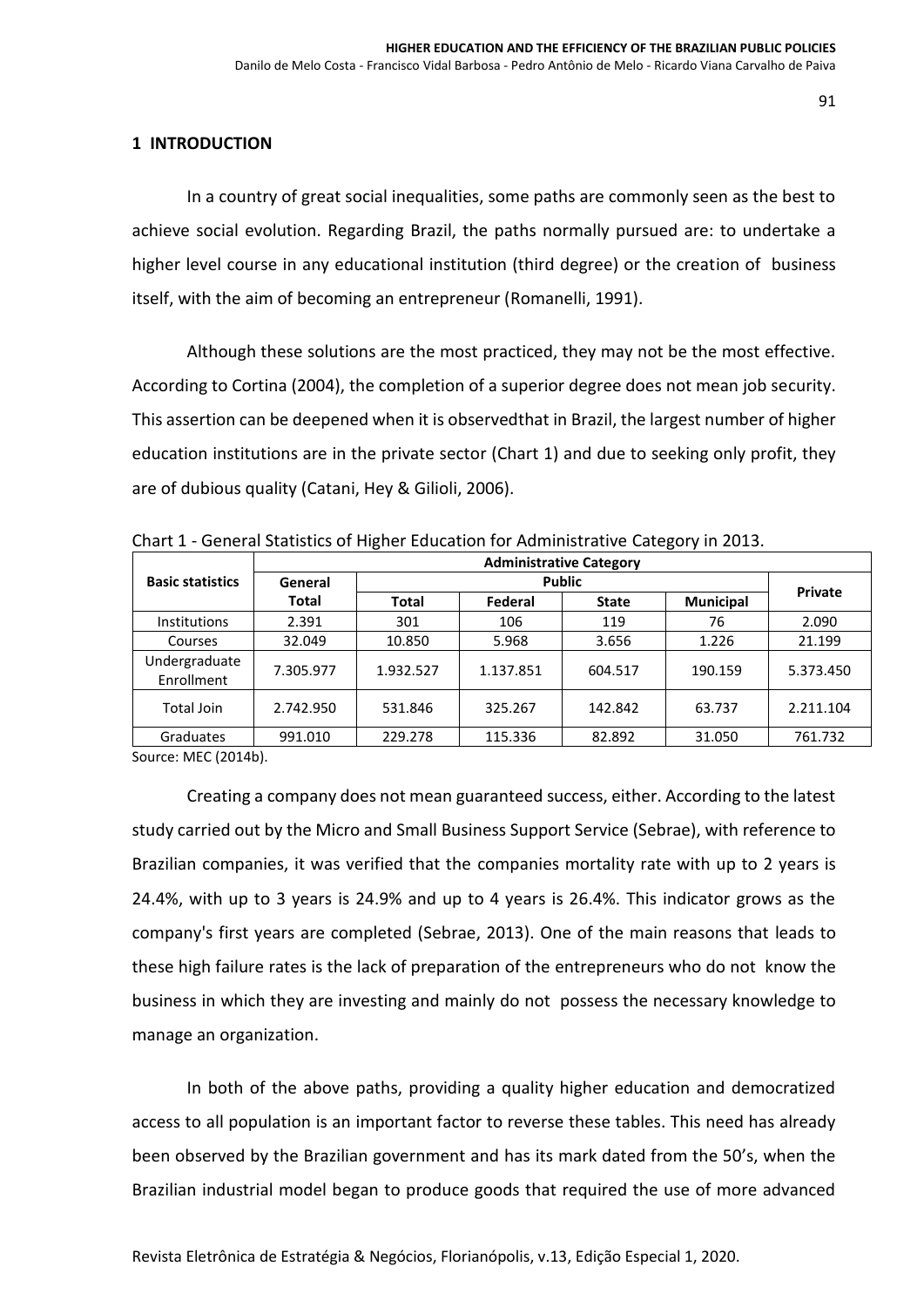### **1 INTRODUCTION**

In a country of great social inequalities, some paths are commonly seen as the best to achieve social evolution. Regarding Brazil, the paths normally pursued are: to undertake a higher level course in any educational institution (third degree) or the creation of business itself, with the aim of becoming an entrepreneur (Romanelli, 1991).

Although these solutions are the most practiced, they may not be the most effective. According to Cortina (2004), the completion of a superior degree does not mean job security. This assertion can be deepened when it is observedthat in Brazil, the largest number of higher education institutions are in the private sector (Chart 1) and due to seeking only profit, they are of dubious quality (Catani, Hey & Gilioli, 2006).

|                             | <b>Administrative Category</b> |           |           |              |                  |           |
|-----------------------------|--------------------------------|-----------|-----------|--------------|------------------|-----------|
| <b>Basic statistics</b>     | General                        |           |           |              |                  |           |
|                             | Total                          | Total     | Federal   | <b>State</b> | <b>Municipal</b> | Private   |
| <b>Institutions</b>         | 2.391                          | 301       | 106       | 119          | 76               | 2.090     |
| Courses                     | 32.049                         | 10.850    | 5.968     | 3.656        | 1.226            | 21.199    |
| Undergraduate<br>Enrollment | 7.305.977                      | 1.932.527 | 1.137.851 | 604.517      | 190.159          | 5.373.450 |
| Total Join                  | 2.742.950                      | 531.846   | 325.267   | 142.842      | 63.737           | 2.211.104 |
| Graduates                   | 991.010                        | 229.278   | 115.336   | 82.892       | 31.050           | 761.732   |

Chart 1 - General Statistics of Higher Education for Administrative Category in 2013.

Source: MEC (2014b).

Creating a company does not mean guaranteed success, either. According to the latest study carried out by the Micro and Small Business Support Service (Sebrae), with reference to Brazilian companies, it was verified that the companies mortality rate with up to 2 years is 24.4%, with up to 3 years is 24.9% and up to 4 years is 26.4%. This indicator grows as the company's first years are completed (Sebrae, 2013). One of the main reasons that leads to these high failure rates is the lack of preparation of the entrepreneurs who do not know the business in which they are investing and mainly do not possess the necessary knowledge to manage an organization.

In both of the above paths, providing a quality higher education and democratized access to all population is an important factor to reverse these tables. This need has already been observed by the Brazilian government and has its mark dated from the 50's, when the Brazilian industrial model began to produce goods that required the use of more advanced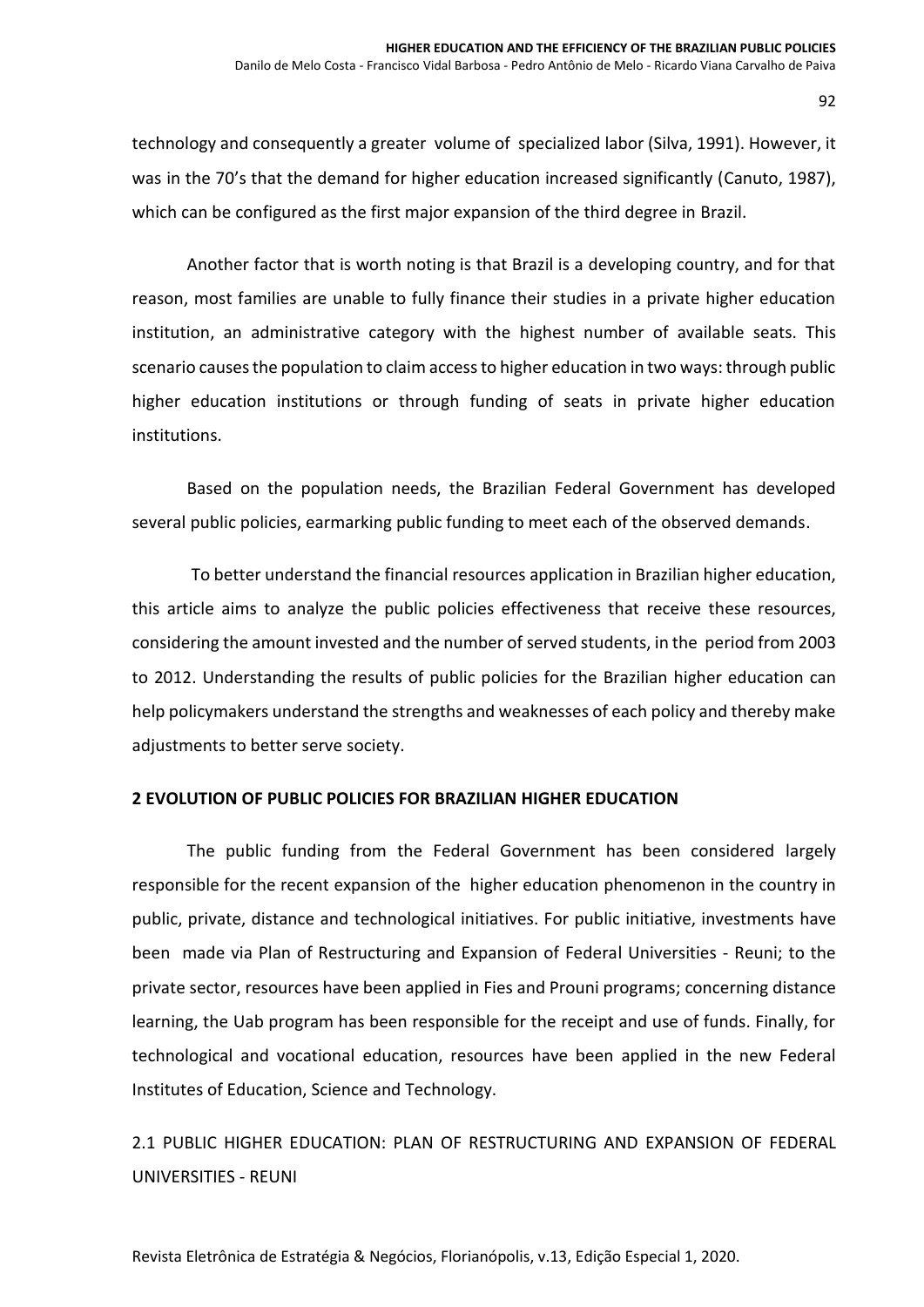technology and consequently a greater volume of specialized labor (Silva, 1991). However, it was in the 70's that the demand for higher education increased significantly (Canuto, 1987), which can be configured as the first major expansion of the third degree in Brazil.

Another factor that is worth noting is that Brazil is a developing country, and for that reason, most families are unable to fully finance their studies in a private higher education institution, an administrative category with the highest number of available seats. This scenario causes the population to claim access to higher education in two ways: through public higher education institutions or through funding of seats in private higher education institutions.

Based on the population needs, the Brazilian Federal Government has developed several public policies, earmarking public funding to meet each of the observed demands.

To better understand the financial resources application in Brazilian higher education, this article aims to analyze the public policies effectiveness that receive these resources, considering the amount invested and the number of served students, in the period from 2003 to 2012. Understanding the results of public policies for the Brazilian higher education can help policymakers understand the strengths and weaknesses of each policy and thereby make adjustments to better serve society.

### **2 EVOLUTION OF PUBLIC POLICIES FOR BRAZILIAN HIGHER EDUCATION**

The public funding from the Federal Government has been considered largely responsible for the recent expansion of the higher education phenomenon in the country in public, private, distance and technological initiatives. For public initiative, investments have been made via Plan of Restructuring and Expansion of Federal Universities - Reuni; to the private sector, resources have been applied in Fies and Prouni programs; concerning distance learning, the Uab program has been responsible for the receipt and use of funds. Finally, for technological and vocational education, resources have been applied in the new Federal Institutes of Education, Science and Technology.

2.1 PUBLIC HIGHER EDUCATION: PLAN OF RESTRUCTURING AND EXPANSION OF FEDERAL UNIVERSITIES - REUNI

Revista Eletrônica de Estratégia & Negócios, Florianópolis, v.13, Edição Especial 1, 2020.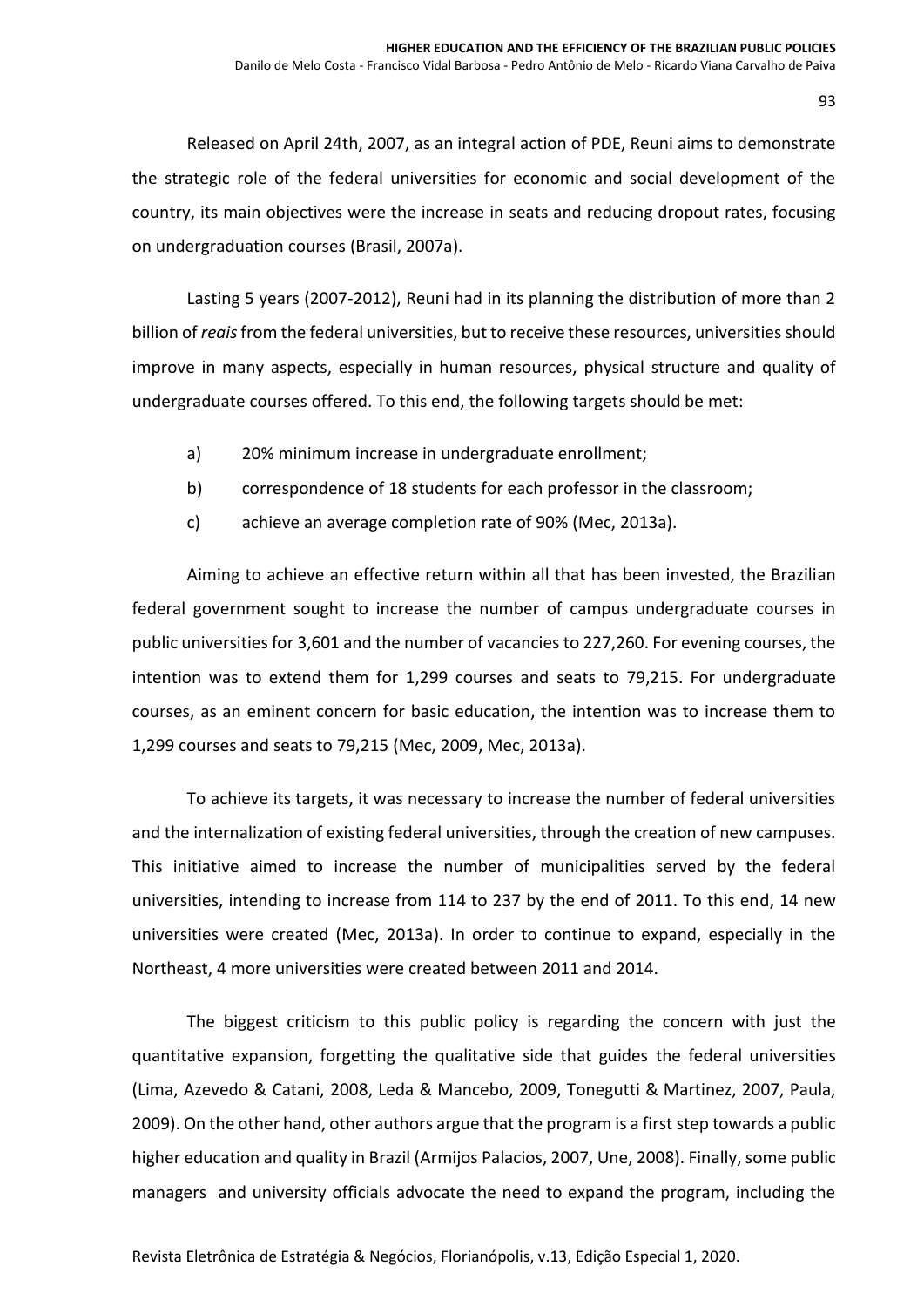Released on April 24th, 2007, as an integral action of PDE, Reuni aims to demonstrate the strategic role of the federal universities for economic and social development of the country, its main objectives were the increase in seats and reducing dropout rates, focusing on undergraduation courses (Brasil, 2007a).

Lasting 5 years (2007-2012), Reuni had in its planning the distribution of more than 2 billion of *reais*from the federal universities, but to receive these resources, universities should improve in many aspects, especially in human resources, physical structure and quality of undergraduate courses offered. To this end, the following targets should be met:

- a) 20% minimum increase in undergraduate enrollment;
- b) correspondence of 18 students for each professor in the classroom;
- c) achieve an average completion rate of 90% (Mec, 2013a).

Aiming to achieve an effective return within all that has been invested, the Brazilian federal government sought to increase the number of campus undergraduate courses in public universities for 3,601 and the number of vacancies to 227,260. For evening courses, the intention was to extend them for 1,299 courses and seats to 79,215. For undergraduate courses, as an eminent concern for basic education, the intention was to increase them to 1,299 courses and seats to 79,215 (Mec, 2009, Mec, 2013a).

To achieve its targets, it was necessary to increase the number of federal universities and the internalization of existing federal universities, through the creation of new campuses. This initiative aimed to increase the number of municipalities served by the federal universities, intending to increase from 114 to 237 by the end of 2011. To this end, 14 new universities were created (Mec, 2013a). In order to continue to expand, especially in the Northeast, 4 more universities were created between 2011 and 2014.

The biggest criticism to this public policy is regarding the concern with just the quantitative expansion, forgetting the qualitative side that guides the federal universities (Lima, Azevedo & Catani, 2008, Leda & Mancebo, 2009, Tonegutti & Martinez, 2007, Paula, 2009). On the other hand, other authors argue that the program is a first step towards a public higher education and quality in Brazil (Armijos Palacios, 2007, Une, 2008). Finally, some public managers and university officials advocate the need to expand the program, including the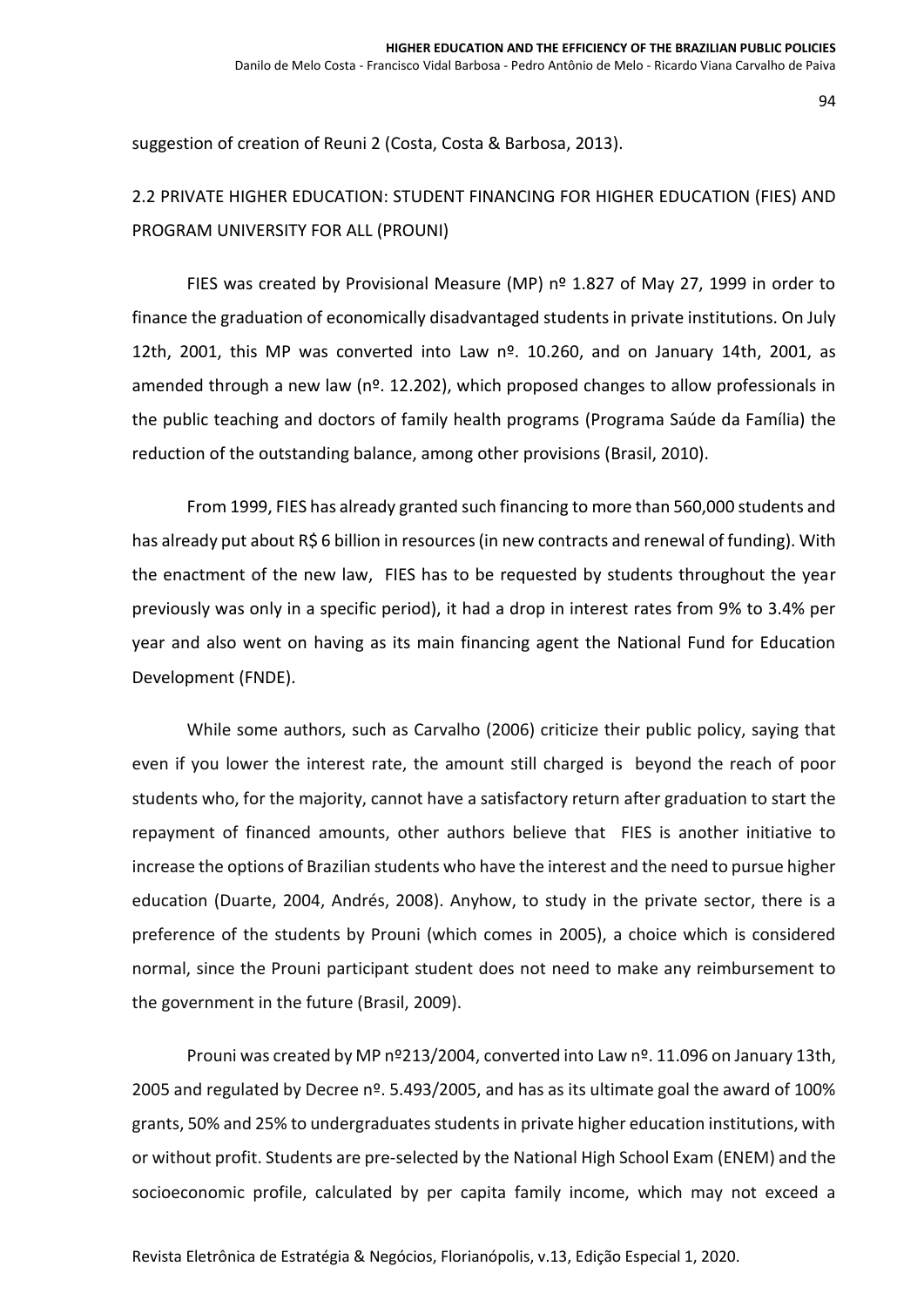suggestion of creation of Reuni 2 (Costa, Costa & Barbosa, 2013).

# 2.2 PRIVATE HIGHER EDUCATION: STUDENT FINANCING FOR HIGHER EDUCATION (FIES) AND PROGRAM UNIVERSITY FOR ALL (PROUNI)

FIES was created by Provisional Measure (MP)  $n^{\circ}$  1.827 of May 27, 1999 in order to finance the graduation of economically disadvantaged students in private institutions. On July 12th, 2001, this MP was converted into Law  $n<sup>o</sup>$ . 10.260, and on January 14th, 2001, as amended through a new law ( $n<sup>2</sup>$ . 12.202), which proposed changes to allow professionals in the public teaching and doctors of family health programs (Programa Saúde da Família) the reduction of the outstanding balance, among other provisions (Brasil, 2010).

From 1999, FIES has already granted such financing to more than 560,000 students and has already put about R\$ 6 billion in resources (in new contracts and renewal of funding). With the enactment of the new law, FIES has to be requested by students throughout the year previously was only in a specific period), it had a drop in interest rates from 9% to 3.4% per year and also went on having as its main financing agent the National Fund for Education Development (FNDE).

While some authors, such as Carvalho (2006) criticize their public policy, saying that even if you lower the interest rate, the amount still charged is beyond the reach of poor students who, for the majority, cannot have a satisfactory return after graduation to start the repayment of financed amounts, other authors believe that FIES is another initiative to increase the options of Brazilian students who have the interest and the need to pursue higher education (Duarte, 2004, Andrés, 2008). Anyhow, to study in the private sector, there is a preference of the students by Prouni (which comes in 2005), a choice which is considered normal, since the Prouni participant student does not need to make any reimbursement to the government in the future (Brasil, 2009).

Prouni was created by MP nº213/2004, converted into Law nº. 11.096 on January 13th, 2005 and regulated by Decree  $n^{\circ}$ . 5.493/2005, and has as its ultimate goal the award of 100% grants, 50% and 25% to undergraduates students in private higher education institutions, with or without profit. Students are pre-selected by the National High School Exam (ENEM) and the socioeconomic profile, calculated by per capita family income, which may not exceed a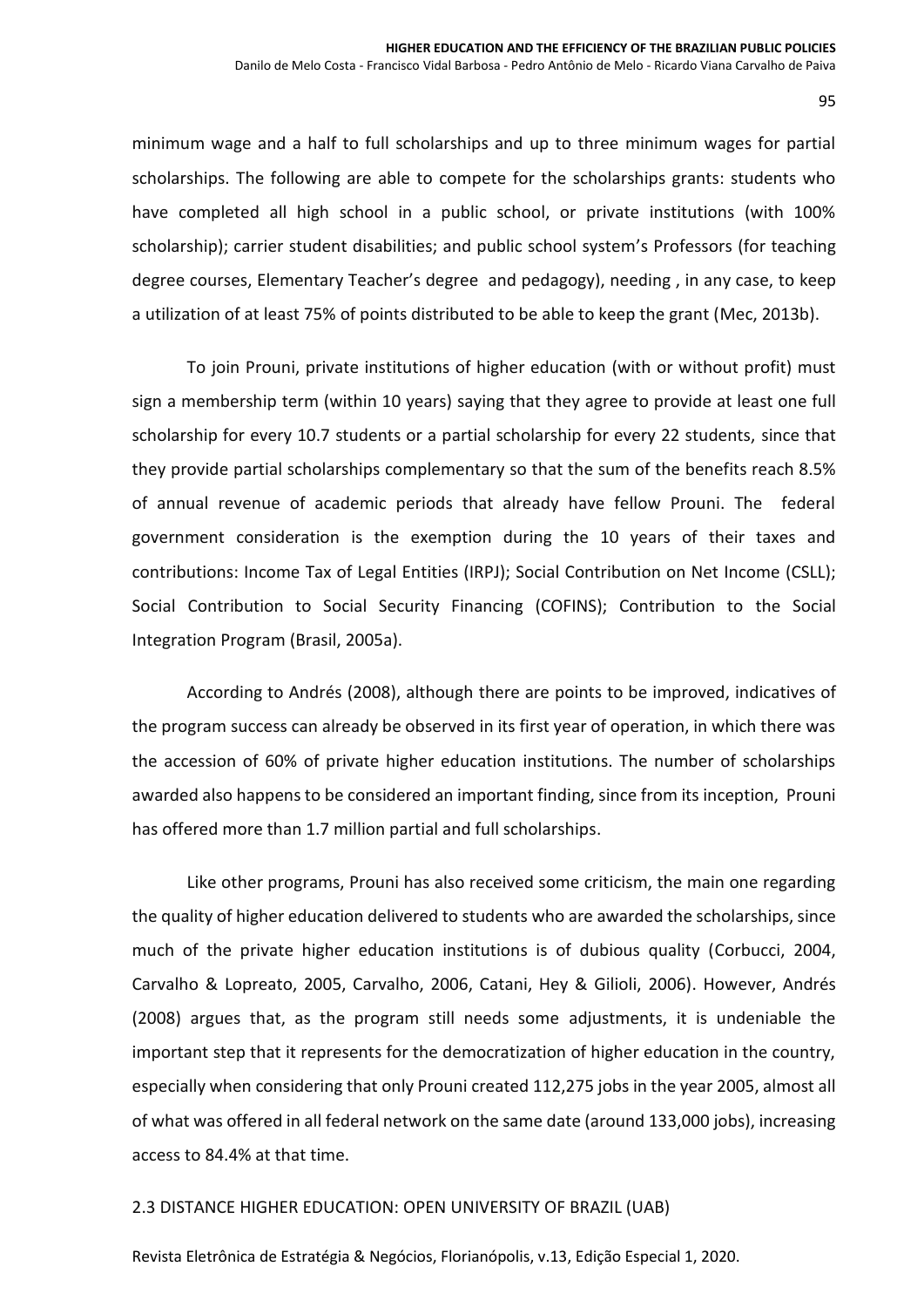minimum wage and a half to full scholarships and up to three minimum wages for partial scholarships. The following are able to compete for the scholarships grants: students who have completed all high school in a public school, or private institutions (with 100% scholarship); carrier student disabilities; and public school system's Professors (for teaching degree courses, Elementary Teacher's degree and pedagogy), needing , in any case, to keep a utilization of at least 75% of points distributed to be able to keep the grant (Mec, 2013b).

To join Prouni, private institutions of higher education (with or without profit) must sign a membership term (within 10 years) saying that they agree to provide at least one full scholarship for every 10.7 students or a partial scholarship for every 22 students, since that they provide partial scholarships complementary so that the sum of the benefits reach 8.5% of annual revenue of academic periods that already have fellow Prouni. The federal government consideration is the exemption during the 10 years of their taxes and contributions: Income Tax of Legal Entities (IRPJ); Social Contribution on Net Income (CSLL); Social Contribution to Social Security Financing (COFINS); Contribution to the Social Integration Program (Brasil, 2005a).

According to Andrés (2008), although there are points to be improved, indicatives of the program success can already be observed in its first year of operation, in which there was the accession of 60% of private higher education institutions. The number of scholarships awarded also happens to be considered an important finding, since from its inception, Prouni has offered more than 1.7 million partial and full scholarships.

Like other programs, Prouni has also received some criticism, the main one regarding the quality of higher education delivered to students who are awarded the scholarships, since much of the private higher education institutions is of dubious quality (Corbucci, 2004, Carvalho & Lopreato, 2005, Carvalho, 2006, Catani, Hey & Gilioli, 2006). However, Andrés (2008) argues that, as the program still needs some adjustments, it is undeniable the important step that it represents for the democratization of higher education in the country, especially when considering that only Prouni created 112,275 jobs in the year 2005, almost all of what was offered in all federal network on the same date (around 133,000 jobs), increasing access to 84.4% at that time.

### 2.3 DISTANCE HIGHER EDUCATION: OPEN UNIVERSITY OF BRAZIL (UAB)

Revista Eletrônica de Estratégia & Negócios, Florianópolis, v.13, Edição Especial 1, 2020.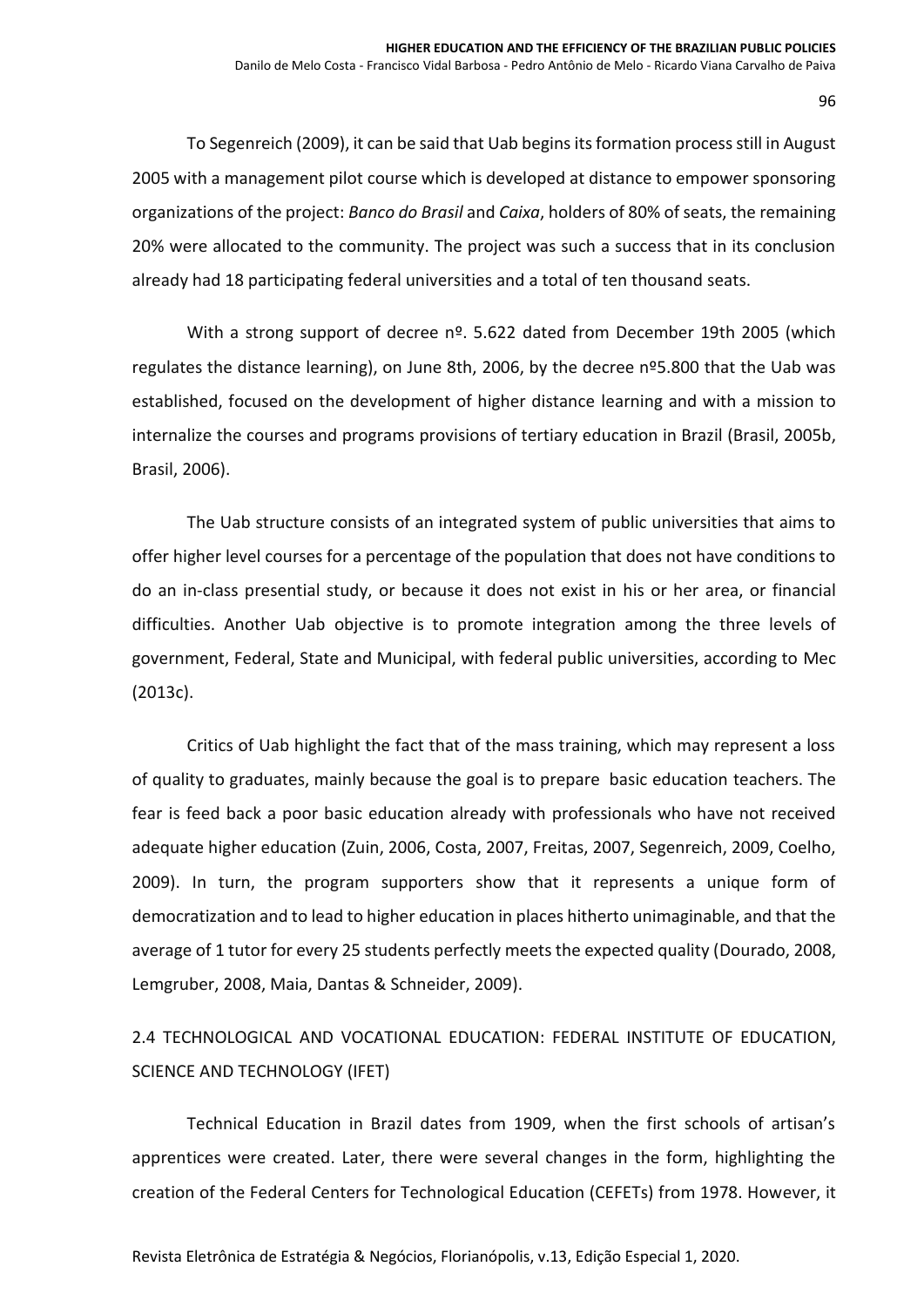To Segenreich (2009), it can be said that Uab begins its formation process still in August 2005 with a management pilot course which is developed at distance to empower sponsoring organizations of the project: *Banco do Brasil* and *Caixa*, holders of 80% of seats, the remaining 20% were allocated to the community. The project was such a success that in its conclusion already had 18 participating federal universities and a total of ten thousand seats.

With a strong support of decree nº. 5.622 dated from December 19th 2005 (which regulates the distance learning), on June 8th, 2006, by the decree nº5.800 that the Uab was established, focused on the development of higher distance learning and with a mission to internalize the courses and programs provisions of tertiary education in Brazil (Brasil, 2005b, Brasil, 2006).

The Uab structure consists of an integrated system of public universities that aims to offer higher level courses for a percentage of the population that does not have conditions to do an in-class presential study, or because it does not exist in his or her area, or financial difficulties. Another Uab objective is to promote integration among the three levels of government, Federal, State and Municipal, with federal public universities, according to Mec (2013c).

Critics of Uab highlight the fact that of the mass training, which may represent a loss of quality to graduates, mainly because the goal is to prepare basic education teachers. The fear is feed back a poor basic education already with professionals who have not received adequate higher education (Zuin, 2006, Costa, 2007, Freitas, 2007, Segenreich, 2009, Coelho, 2009). In turn, the program supporters show that it represents a unique form of democratization and to lead to higher education in places hitherto unimaginable, and that the average of 1 tutor for every 25 students perfectly meets the expected quality (Dourado, 2008, Lemgruber, 2008, Maia, Dantas & Schneider, 2009).

2.4 TECHNOLOGICAL AND VOCATIONAL EDUCATION: FEDERAL INSTITUTE OF EDUCATION, SCIENCE AND TECHNOLOGY (IFET)

Technical Education in Brazil dates from 1909, when the first schools of artisan's apprentices were created. Later, there were several changes in the form, highlighting the creation of the Federal Centers for Technological Education (CEFETs) from 1978. However, it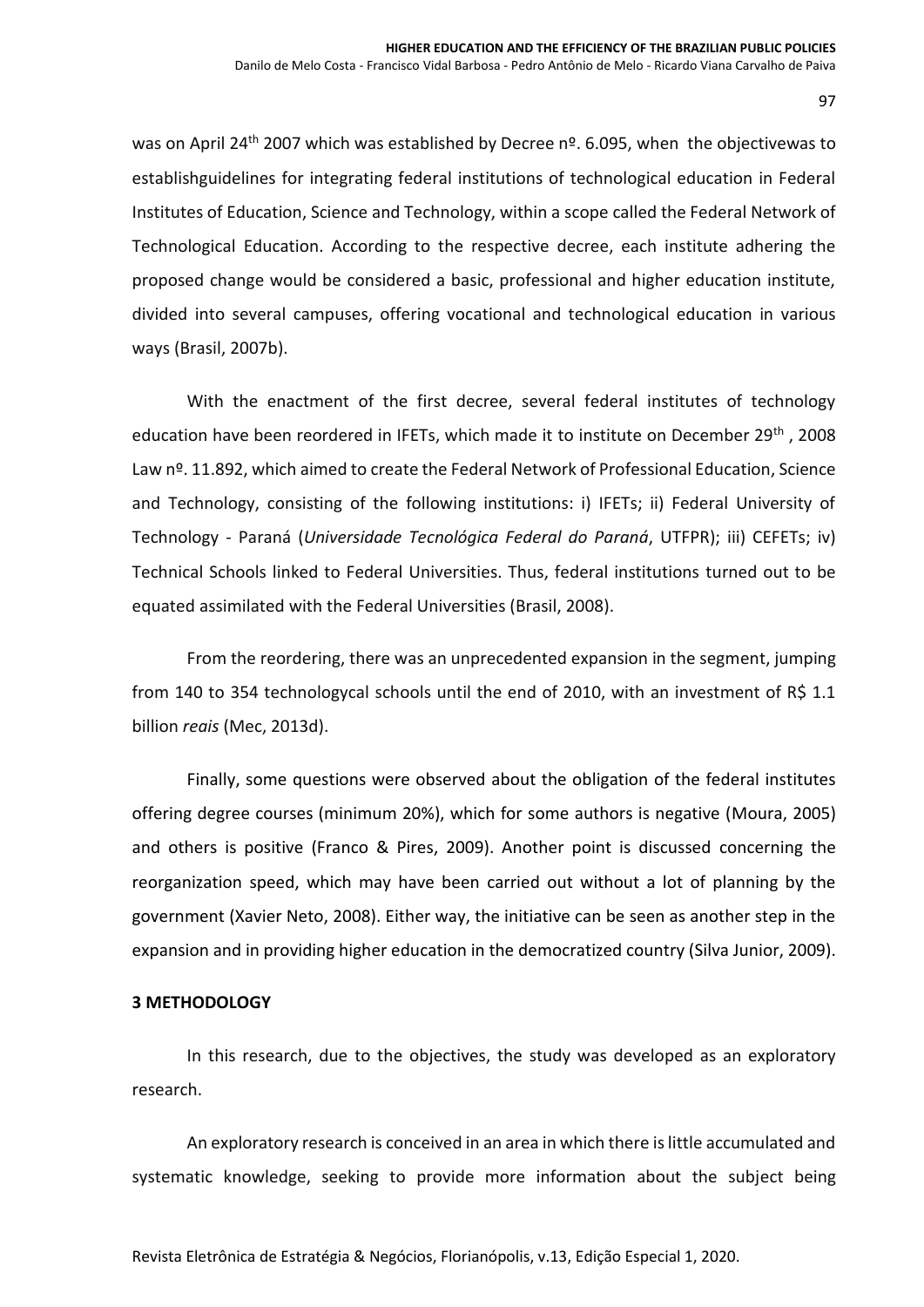was on April 24<sup>th</sup> 2007 which was established by Decree nº. 6.095, when the objectivewas to establishguidelines for integrating federal institutions of technological education in Federal Institutes of Education, Science and Technology, within a scope called the Federal Network of Technological Education. According to the respective decree, each institute adhering the proposed change would be considered a basic, professional and higher education institute, divided into several campuses, offering vocational and technological education in various ways (Brasil, 2007b).

With the enactment of the first decree, several federal institutes of technology education have been reordered in IFETs, which made it to institute on December 29th, 2008 Law nº. 11.892, which aimed to create the Federal Network of Professional Education, Science and Technology, consisting of the following institutions: i) IFETs; ii) Federal University of Technology - Paraná (*Universidade Tecnológica Federal do Paraná*, UTFPR); iii) CEFETs; iv) Technical Schools linked to Federal Universities. Thus, federal institutions turned out to be equated assimilated with the Federal Universities (Brasil, 2008).

From the reordering, there was an unprecedented expansion in the segment, jumping from 140 to 354 technologycal schools until the end of 2010, with an investment of R\$ 1.1 billion *reais* (Mec, 2013d).

Finally, some questions were observed about the obligation of the federal institutes offering degree courses (minimum 20%), which for some authors is negative (Moura, 2005) and others is positive (Franco & Pires, 2009). Another point is discussed concerning the reorganization speed, which may have been carried out without a lot of planning by the government (Xavier Neto, 2008). Either way, the initiative can be seen as another step in the expansion and in providing higher education in the democratized country (Silva Junior, 2009).

### **3 METHODOLOGY**

In this research, due to the objectives, the study was developed as an exploratory research.

An exploratory research is conceived in an area in which there is little accumulated and systematic knowledge, seeking to provide more information about the subject being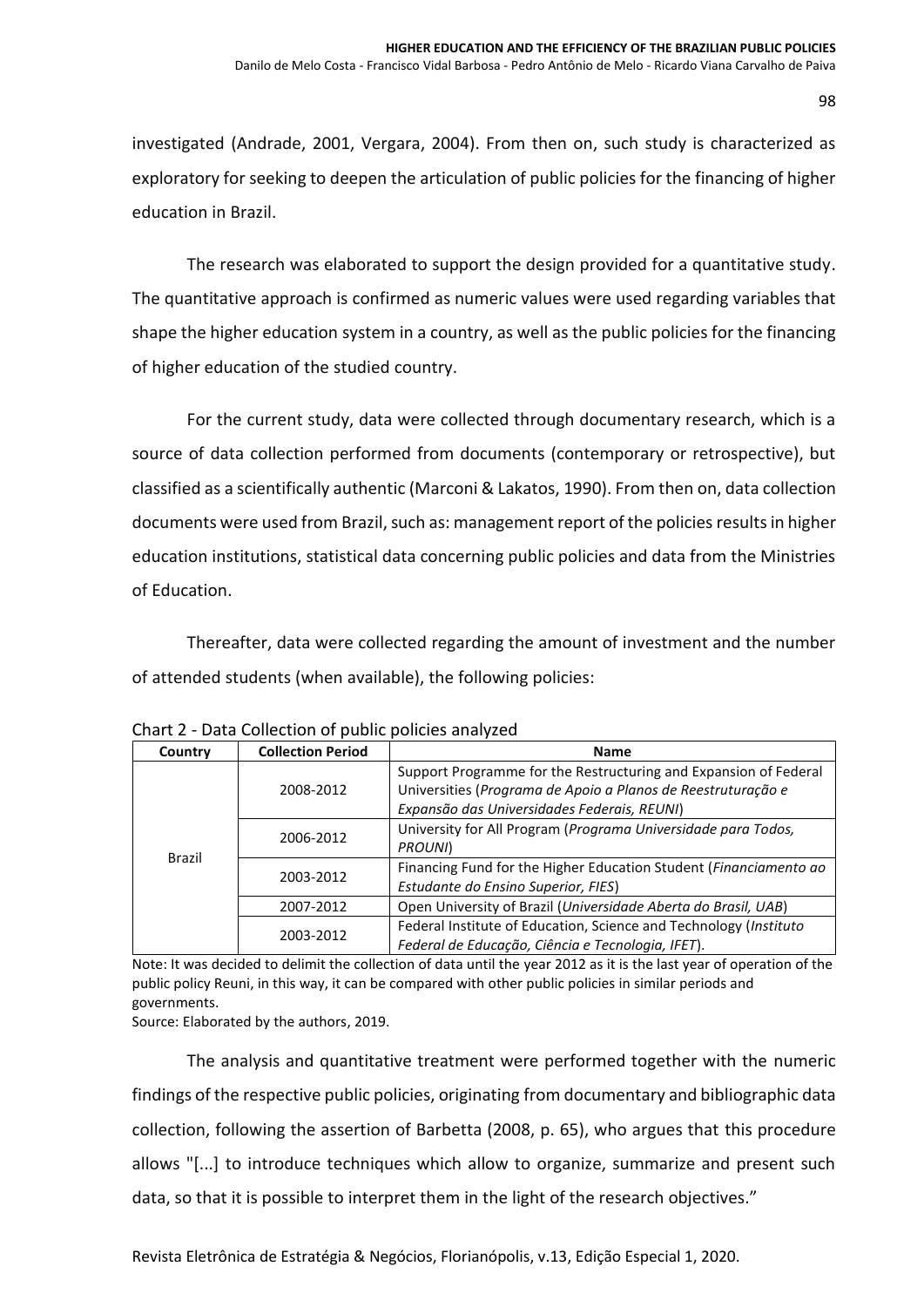investigated (Andrade, 2001, Vergara, 2004). From then on, such study is characterized as exploratory for seeking to deepen the articulation of public policies for the financing of higher education in Brazil.

The research was elaborated to support the design provided for a quantitative study. The quantitative approach is confirmed as numeric values were used regarding variables that shape the higher education system in a country, as well as the public policies for the financing of higher education of the studied country.

For the current study, data were collected through documentary research, which is a source of data collection performed from documents (contemporary or retrospective), but classified as a scientifically authentic (Marconi & Lakatos, 1990). From then on, data collection documents were used from Brazil, such as: management report of the policies results in higher education institutions, statistical data concerning public policies and data from the Ministries of Education.

Thereafter, data were collected regarding the amount of investment and the number of attended students (when available), the following policies:

| Country | <b>Collection Period</b> | <b>Name</b>                                                       |
|---------|--------------------------|-------------------------------------------------------------------|
|         |                          | Support Programme for the Restructuring and Expansion of Federal  |
|         | 2008-2012                | Universities (Programa de Apoio a Planos de Reestruturação e      |
|         |                          | Expansão das Universidades Federais, REUNI)                       |
|         | 2006-2012                | University for All Program (Programa Universidade para Todos,     |
|         |                          | PROUNI)                                                           |
| Brazil  |                          | Financing Fund for the Higher Education Student (Financiamento ao |
|         | 2003-2012                | Estudante do Ensino Superior, FIES)                               |
|         | 2007-2012                | Open University of Brazil (Universidade Aberta do Brasil, UAB)    |
|         |                          | Federal Institute of Education, Science and Technology (Instituto |
|         | 2003-2012                | Federal de Educação, Ciência e Tecnologia, IFET).                 |

Chart 2 - Data Collection of public policies analyzed

Note: It was decided to delimit the collection of data until the year 2012 as it is the last year of operation of the public policy Reuni, in this way, it can be compared with other public policies in similar periods and governments.

Source: Elaborated by the authors, 2019.

The analysis and quantitative treatment were performed together with the numeric findings of the respective public policies, originating from documentary and bibliographic data collection, following the assertion of Barbetta (2008, p. 65), who argues that this procedure allows "[...] to introduce techniques which allow to organize, summarize and present such data, so that it is possible to interpret them in the light of the research objectives."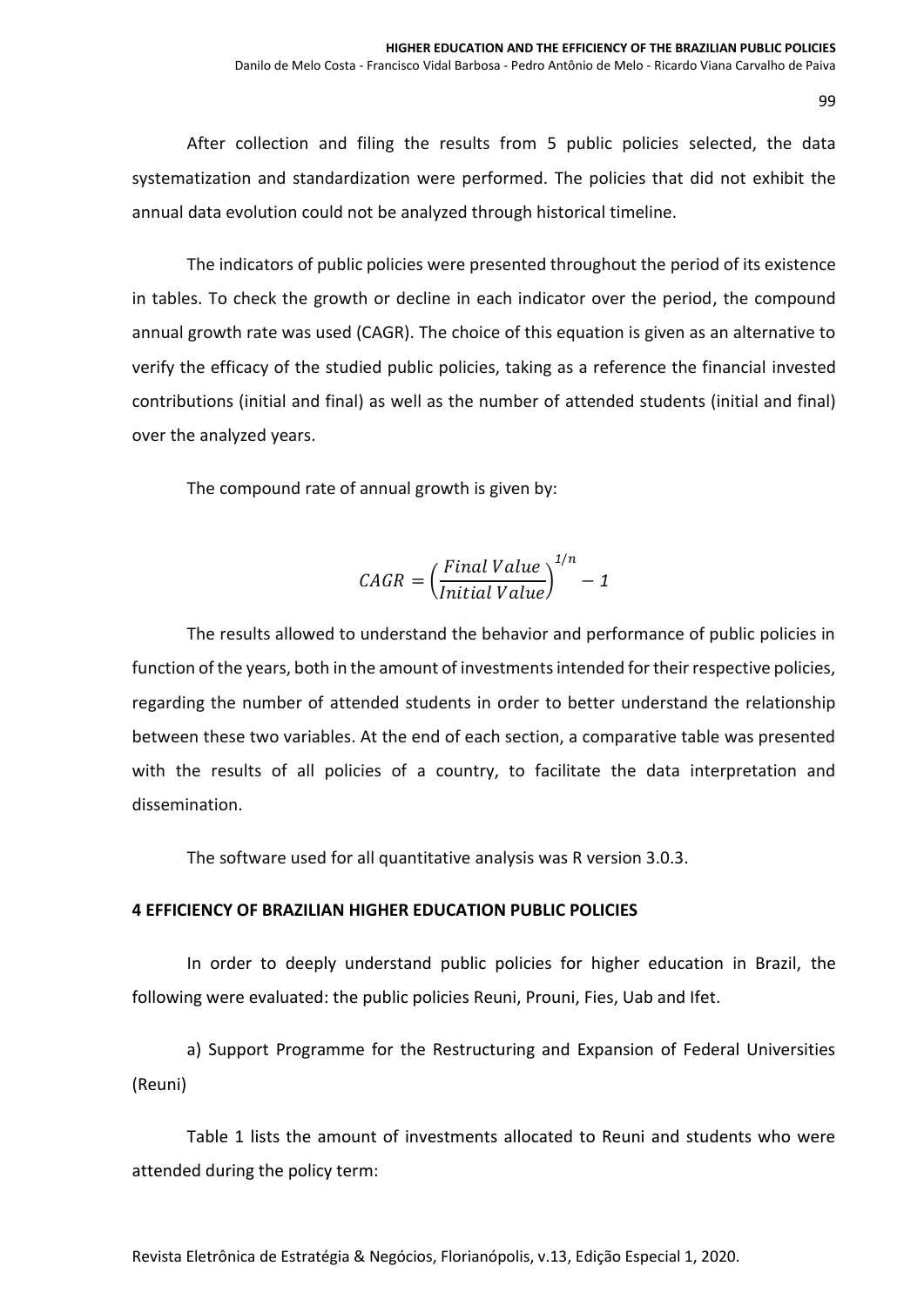After collection and filing the results from 5 public policies selected, the data systematization and standardization were performed. The policies that did not exhibit the annual data evolution could not be analyzed through historical timeline.

The indicators of public policies were presented throughout the period of its existence in tables. To check the growth or decline in each indicator over the period, the compound annual growth rate was used (CAGR). The choice of this equation is given as an alternative to verify the efficacy of the studied public policies, taking as a reference the financial invested contributions (initial and final) as well as the number of attended students (initial and final) over the analyzed years.

The compound rate of annual growth is given by:

$$
CAGR = \left(\frac{Final Value}{Initial Value}\right)^{1/n} - 1
$$

The results allowed to understand the behavior and performance of public policies in function of the years, both in the amount of investments intended for their respective policies, regarding the number of attended students in order to better understand the relationship between these two variables. At the end of each section, a comparative table was presented with the results of all policies of a country, to facilitate the data interpretation and dissemination.

The software used for all quantitative analysis was R version 3.0.3.

### **4 EFFICIENCY OF BRAZILIAN HIGHER EDUCATION PUBLIC POLICIES**

In order to deeply understand public policies for higher education in Brazil, the following were evaluated: the public policies Reuni, Prouni, Fies, Uab and Ifet.

a) Support Programme for the Restructuring and Expansion of Federal Universities (Reuni)

Table 1 lists the amount of investments allocated to Reuni and students who were attended during the policy term: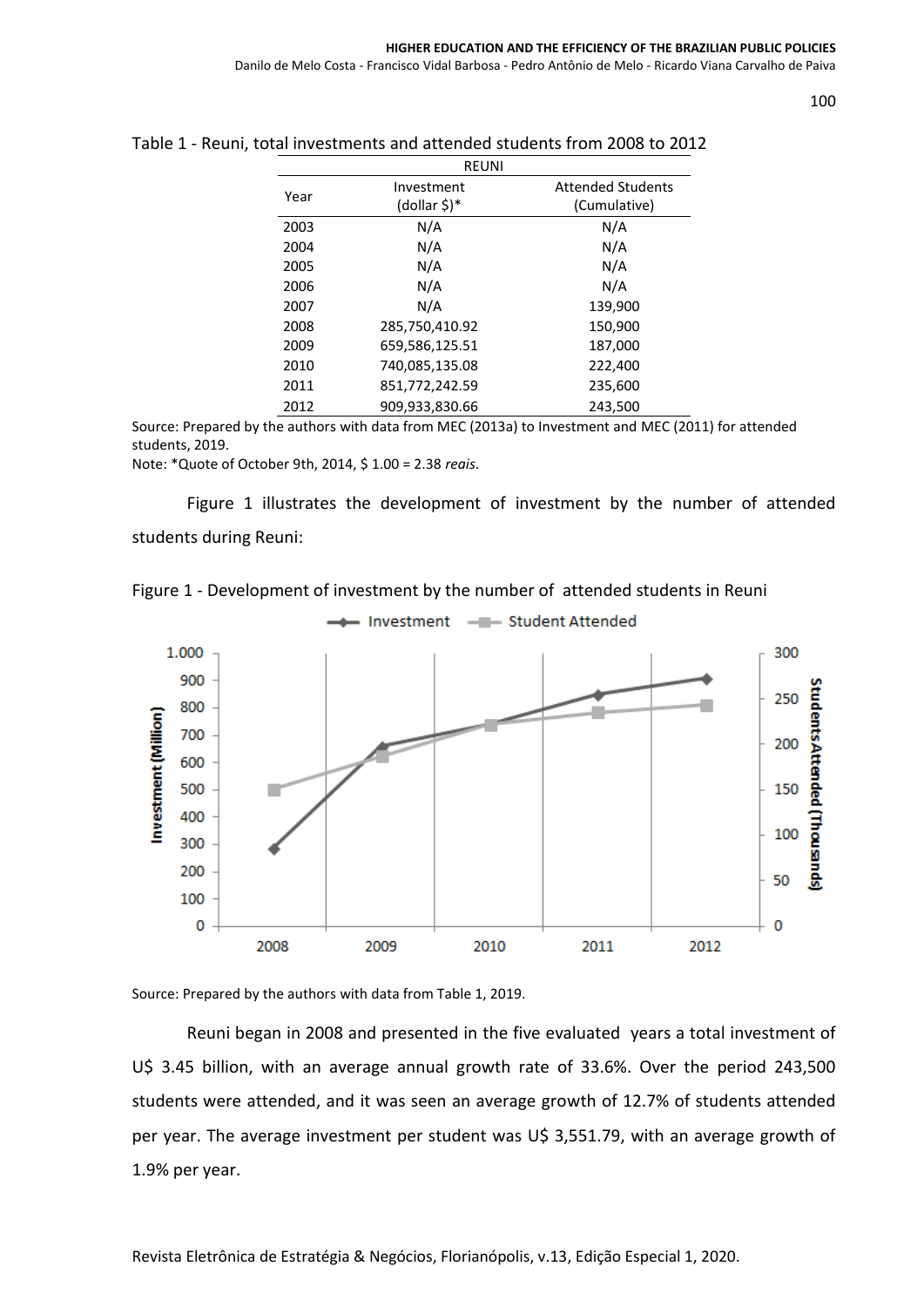| ۰. |              |              |
|----|--------------|--------------|
|    | ł<br>×<br>۰. | ٦<br>×<br>۰. |

|      | <b>REUNI</b>   |                          |
|------|----------------|--------------------------|
| Year | Investment     | <b>Attended Students</b> |
|      | (dollar \$)*   | (Cumulative)             |
| 2003 | N/A            | N/A                      |
| 2004 | N/A            | N/A                      |
| 2005 | N/A            | N/A                      |
| 2006 | N/A            | N/A                      |
| 2007 | N/A            | 139,900                  |
| 2008 | 285,750,410.92 | 150,900                  |
| 2009 | 659,586,125.51 | 187,000                  |
| 2010 | 740,085,135.08 | 222,400                  |
| 2011 | 851,772,242.59 | 235,600                  |
| 2012 | 909,933,830.66 | 243,500                  |

### Table 1 - Reuni, total investments and attended students from 2008 to 2012

Source: Prepared by the authors with data from MEC (2013a) to Investment and MEC (2011) for attended students, 2019.

Note: \*Quote of October 9th, 2014, \$ 1.00 = 2.38 *reais*.

Figure 1 illustrates the development of investment by the number of attended students during Reuni:

Investment - Student Attended



1.000 300 900 students Attended (Thousands) 250 800 Investment (Million) 700 200 600 150 500 400 100 300 200 50 100 0  $\mathbf{0}$ 2008 2009 2010 2011 2012

Source: Prepared by the authors with data from Table 1, 2019.

Reuni began in 2008 and presented in the five evaluated years a total investment of U\$ 3.45 billion, with an average annual growth rate of 33.6%. Over the period 243,500 students were attended, and it was seen an average growth of 12.7% of students attended per year. The average investment per student was U\$ 3,551.79, with an average growth of 1.9% per year.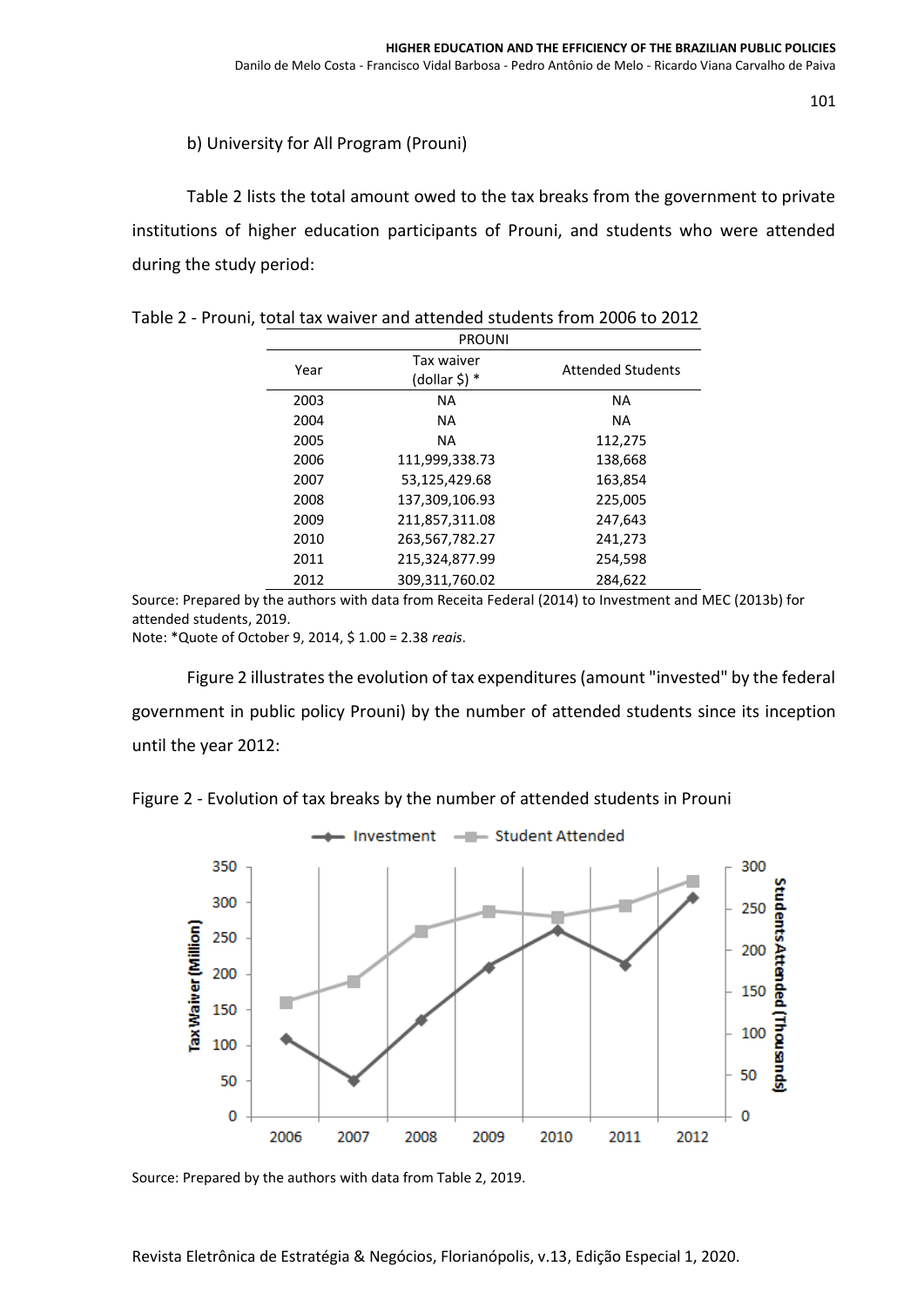## b) University for All Program (Prouni)

Table 2 lists the total amount owed to the tax breaks from the government to private institutions of higher education participants of Prouni, and students who were attended during the study period:

|      | <b>PROUNI</b>               |                          |
|------|-----------------------------|--------------------------|
| Year | Tax waiver<br>(dollar \$) * | <b>Attended Students</b> |
| 2003 | <b>NA</b>                   | <b>NA</b>                |
| 2004 | NA                          | <b>NA</b>                |
| 2005 | NA                          | 112,275                  |
| 2006 | 111,999,338.73              | 138,668                  |
| 2007 | 53,125,429.68               | 163.854                  |
| 2008 | 137,309,106.93              | 225,005                  |
| 2009 | 211,857,311.08              | 247,643                  |
| 2010 | 263,567,782.27              | 241,273                  |
| 2011 | 215,324,877.99              | 254,598                  |
| 2012 | 309,311,760.02              | 284,622                  |

| Table 2 - Prouni, total tax waiver and attended students from 2006 to 2012 |  |  |  |
|----------------------------------------------------------------------------|--|--|--|
|----------------------------------------------------------------------------|--|--|--|

Source: Prepared by the authors with data from Receita Federal (2014) to Investment and MEC (2013b) for attended students, 2019.

Note: \*Quote of October 9, 2014, \$ 1.00 = 2.38 *reais*.

Figure 2 illustrates the evolution of tax expenditures (amount "invested" by the federal government in public policy Prouni) by the number of attended students since its inception until the year 2012:

Figure 2 - Evolution of tax breaks by the number of attended students in Prouni



Source: Prepared by the authors with data from Table 2, 2019.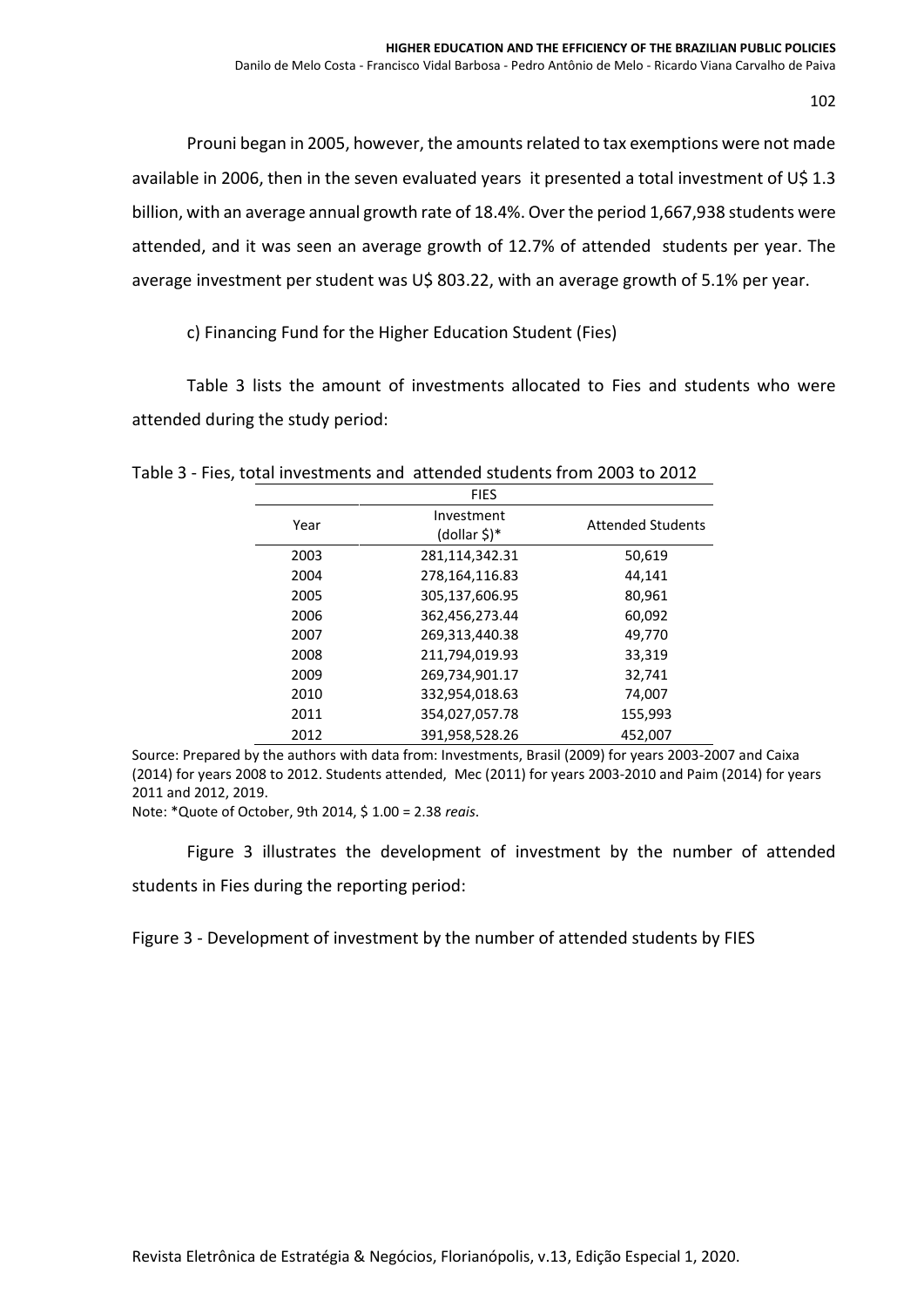Prouni began in 2005, however, the amounts related to tax exemptions were not made available in 2006, then in the seven evaluated years it presented a total investment of U\$ 1.3 billion, with an average annual growth rate of 18.4%. Over the period 1,667,938 students were attended, and it was seen an average growth of 12.7% of attended students per year. The average investment per student was U\$ 803.22, with an average growth of 5.1% per year.

c) Financing Fund for the Higher Education Student (Fies)

Table 3 lists the amount of investments allocated to Fies and students who were attended during the study period:

|      | <b>FIES</b>                 |                          |
|------|-----------------------------|--------------------------|
| Year | Investment<br>$(dollar $)*$ | <b>Attended Students</b> |
| 2003 | 281,114,342.31              | 50,619                   |
| 2004 | 278,164,116.83              | 44,141                   |
| 2005 | 305,137,606.95              | 80,961                   |
| 2006 | 362,456,273.44              | 60,092                   |
| 2007 | 269,313,440.38              | 49,770                   |
| 2008 | 211,794,019.93              | 33,319                   |
| 2009 | 269,734,901.17              | 32,741                   |
| 2010 | 332,954,018.63              | 74,007                   |
| 2011 | 354,027,057.78              | 155,993                  |
| 2012 | 391,958,528.26              | 452,007                  |

Table 3 - Fies, total investments and attended students from 2003 to 2012

Source: Prepared by the authors with data from: Investments, Brasil (2009) for years 2003-2007 and Caixa (2014) for years 2008 to 2012. Students attended, Mec (2011) for years 2003-2010 and Paim (2014) for years 2011 and 2012, 2019.

Note: \*Quote of October, 9th 2014, \$ 1.00 = 2.38 *reais*.

Figure 3 illustrates the development of investment by the number of attended students in Fies during the reporting period:

Figure 3 - Development of investment by the number of attended students by FIES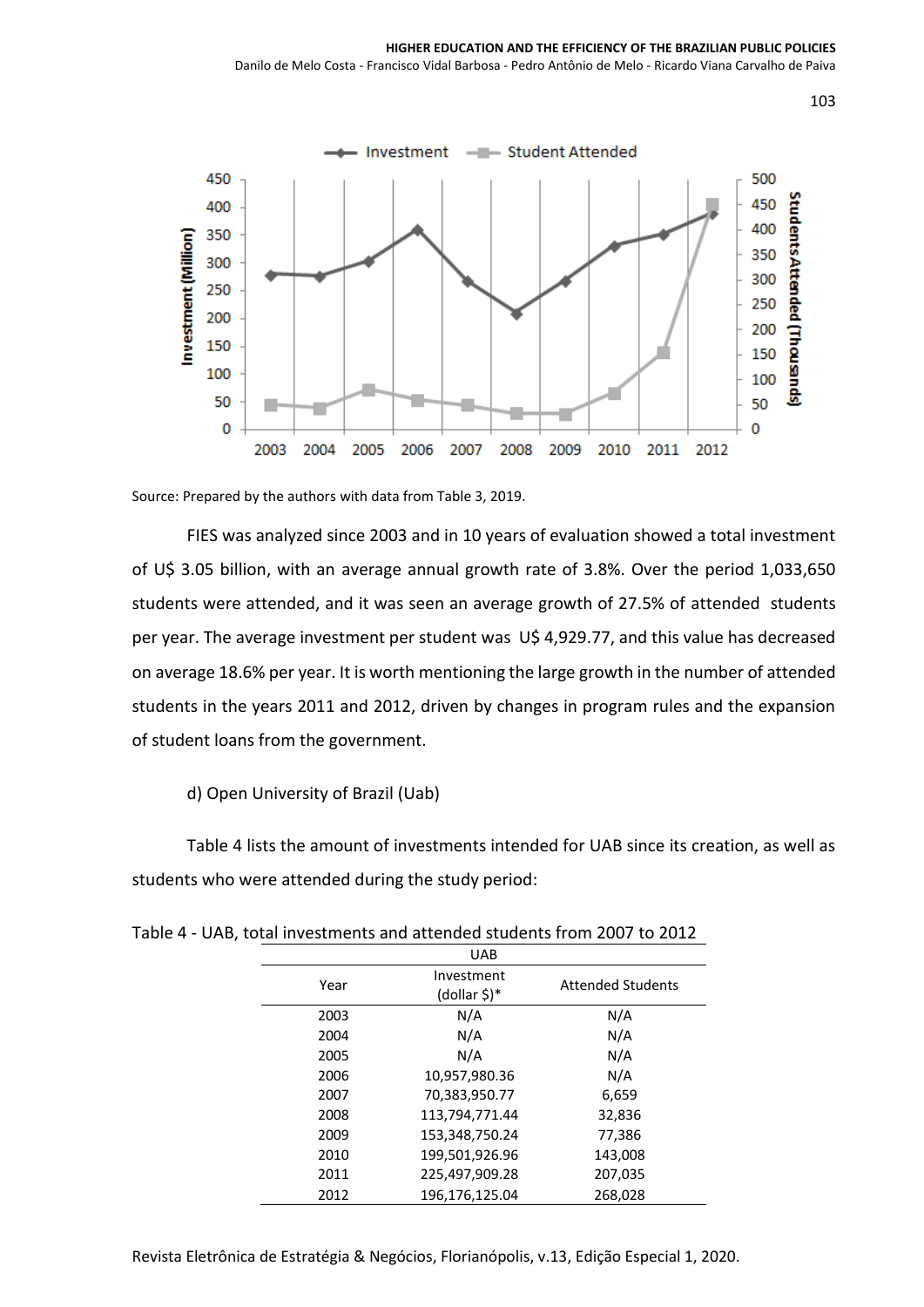

Source: Prepared by the authors with data from Table 3, 2019.

FIES was analyzed since 2003 and in 10 years of evaluation showed a total investment of U\$ 3.05 billion, with an average annual growth rate of 3.8%. Over the period 1,033,650 students were attended, and it was seen an average growth of 27.5% of attended students per year. The average investment per student was U\$ 4,929.77, and this value has decreased on average 18.6% per year. It is worth mentioning the large growth in the number of attended students in the years 2011 and 2012, driven by changes in program rules and the expansion of student loans from the government.

d) Open University of Brazil (Uab)

Table 4 lists the amount of investments intended for UAB since its creation, as well as students who were attended during the study period:

|      | <b>UAB</b>                 |                          |
|------|----------------------------|--------------------------|
| Year | Investment<br>(dollar \$)* | <b>Attended Students</b> |
| 2003 | N/A                        | N/A                      |
| 2004 | N/A                        | N/A                      |
| 2005 | N/A                        | N/A                      |
| 2006 | 10,957,980.36              | N/A                      |
| 2007 | 70,383,950.77              | 6,659                    |
| 2008 | 113,794,771.44             | 32,836                   |
| 2009 | 153,348,750.24             | 77,386                   |
| 2010 | 199,501,926.96             | 143,008                  |
| 2011 | 225,497,909.28             | 207,035                  |
| 2012 | 196,176,125.04             | 268,028                  |

| Table 4 - UAB, total investments and attended students from 2007 to 2012 |  |  |
|--------------------------------------------------------------------------|--|--|
|--------------------------------------------------------------------------|--|--|

Revista Eletrônica de Estratégia & Negócios, Florianópolis, v.13, Edição Especial 1, 2020.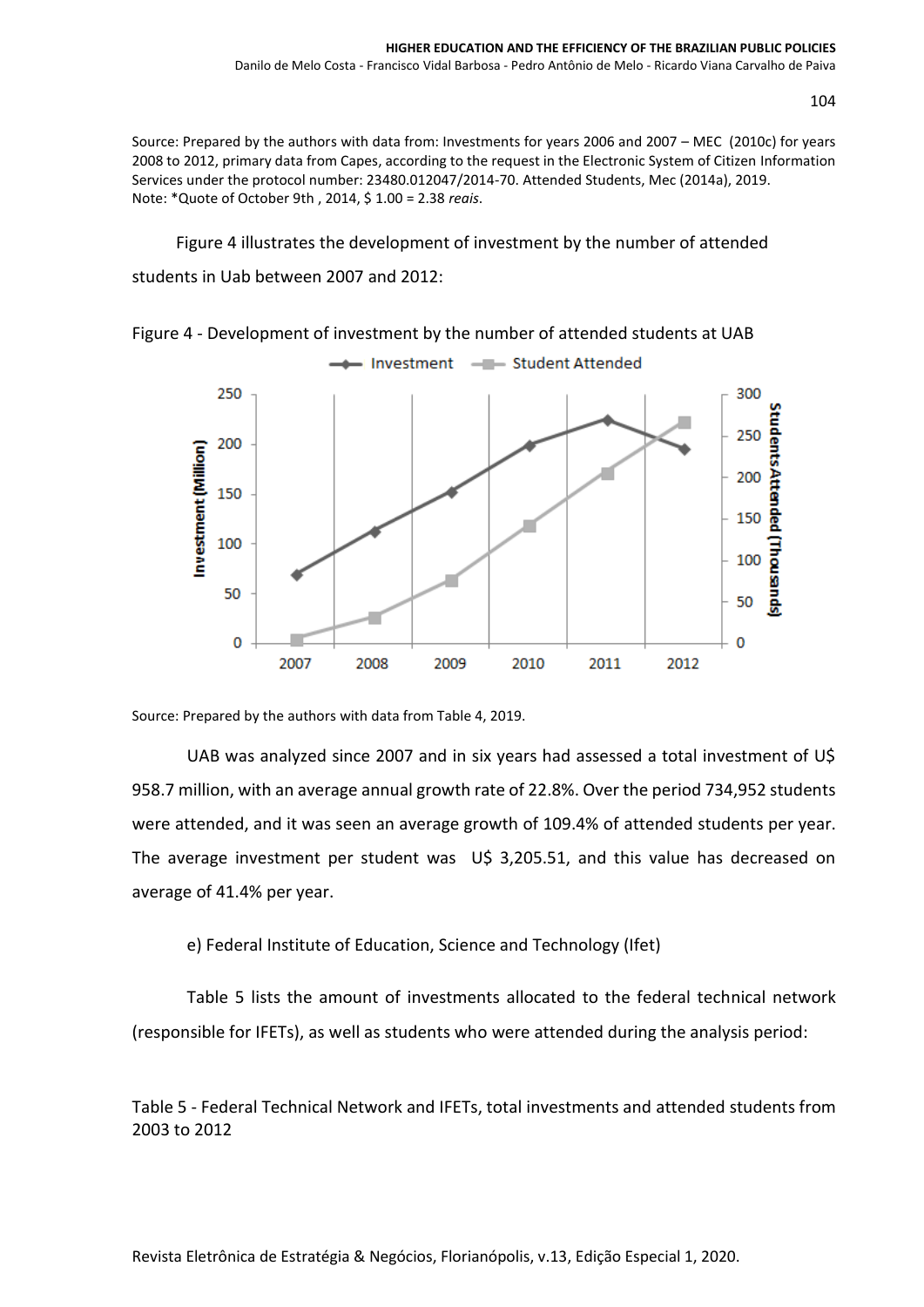Source: Prepared by the authors with data from: Investments for years 2006 and 2007 – MEC (2010c) for years 2008 to 2012, primary data from Capes, according to the request in the Electronic System of Citizen Information Services under the protocol number: 23480.012047/2014-70. Attended Students, Mec (2014a), 2019. Note: \*Quote of October 9th , 2014, \$ 1.00 = 2.38 *reais*.

Figure 4 illustrates the development of investment by the number of attended students in Uab between 2007 and 2012:





Source: Prepared by the authors with data from Table 4, 2019.

UAB was analyzed since 2007 and in six years had assessed a total investment of U\$ 958.7 million, with an average annual growth rate of 22.8%. Over the period 734,952 students were attended, and it was seen an average growth of 109.4% of attended students per year. The average investment per student was U\$ 3,205.51, and this value has decreased on average of 41.4% per year.

e) Federal Institute of Education, Science and Technology (Ifet)

Table 5 lists the amount of investments allocated to the federal technical network (responsible for IFETs), as well as students who were attended during the analysis period:

Table 5 - Federal Technical Network and IFETs, total investments and attended students from 2003 to 2012

Revista Eletrônica de Estratégia & Negócios, Florianópolis, v.13, Edição Especial 1, 2020.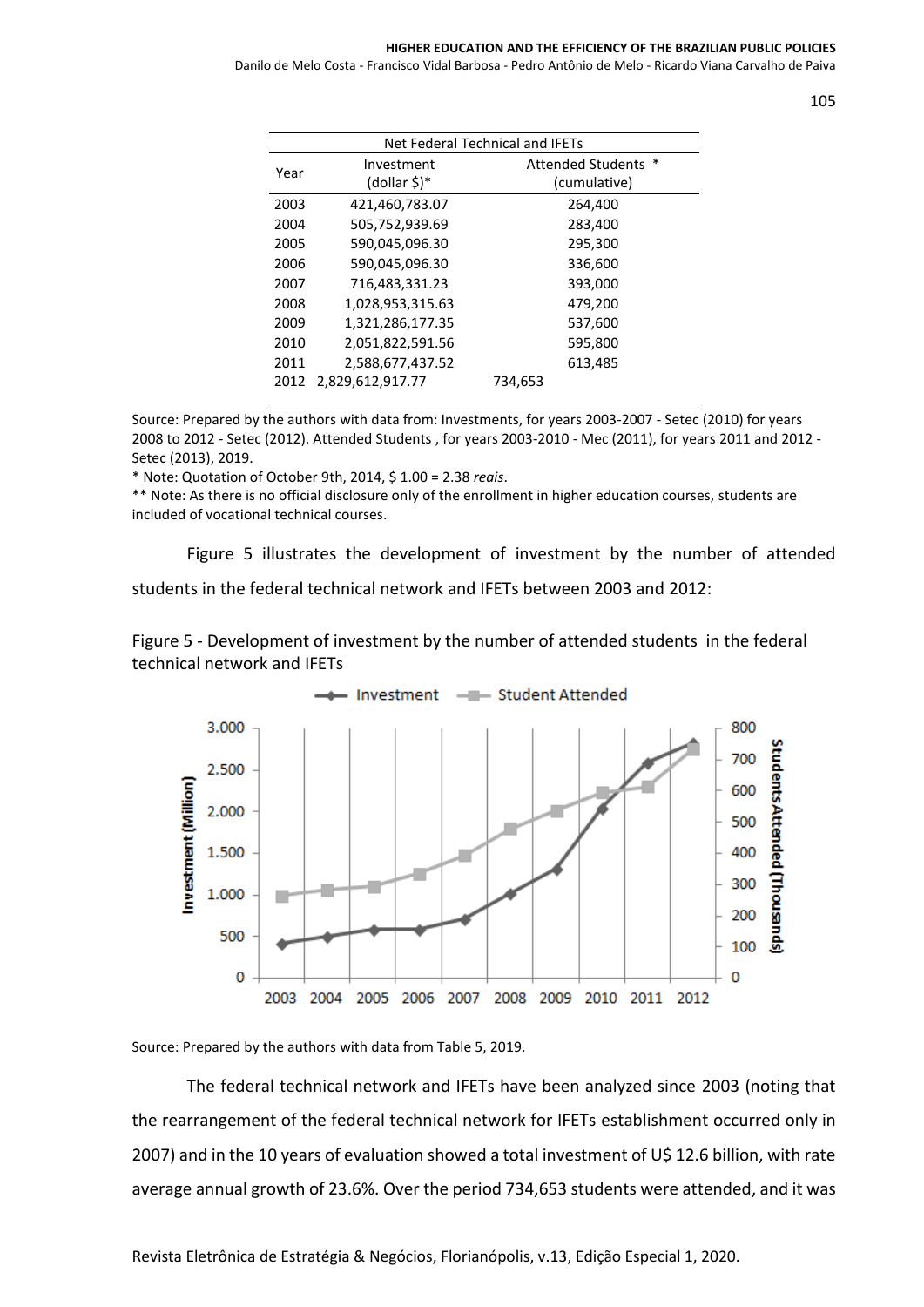#### **HIGHER EDUCATION AND THE EFFICIENCY OF THE BRAZILIAN PUBLIC POLICIES**

Danilo de Melo Costa - Francisco Vidal Barbosa - Pedro Antônio de Melo - Ricardo Viana Carvalho de Paiva

|      |                  | Net Federal Technical and IFETs |
|------|------------------|---------------------------------|
| Year | Investment       | <b>Attended Students</b><br>∗   |
|      | (dollar \$)*     | (cumulative)                    |
| 2003 | 421,460,783.07   | 264,400                         |
| 2004 | 505,752,939.69   | 283,400                         |
| 2005 | 590,045,096.30   | 295,300                         |
| 2006 | 590,045,096.30   | 336,600                         |
| 2007 | 716,483,331.23   | 393,000                         |
| 2008 | 1,028,953,315.63 | 479,200                         |
| 2009 | 1,321,286,177.35 | 537,600                         |
| 2010 | 2,051,822,591.56 | 595,800                         |
| 2011 | 2,588,677,437.52 | 613,485                         |
| 2012 | 2,829,612,917.77 | 734,653                         |
|      |                  |                                 |

Source: Prepared by the authors with data from: Investments, for years 2003-2007 - Setec (2010) for years 2008 to 2012 - Setec (2012). Attended Students , for years 2003-2010 - Mec (2011), for years 2011 and 2012 - Setec (2013), 2019.

\* Note: Quotation of October 9th, 2014, \$ 1.00 = 2.38 *reais*.

\*\* Note: As there is no official disclosure only of the enrollment in higher education courses, students are included of vocational technical courses.

Figure 5 illustrates the development of investment by the number of attended students in the federal technical network and IFETs between 2003 and 2012:

Figure 5 - Development of investment by the number of attended students in the federal technical network and IFETs



Source: Prepared by the authors with data from Table 5, 2019.

The federal technical network and IFETs have been analyzed since 2003 (noting that the rearrangement of the federal technical network for IFETs establishment occurred only in 2007) and in the 10 years of evaluation showed a total investment of U\$ 12.6 billion, with rate average annual growth of 23.6%. Over the period 734,653 students were attended, and it was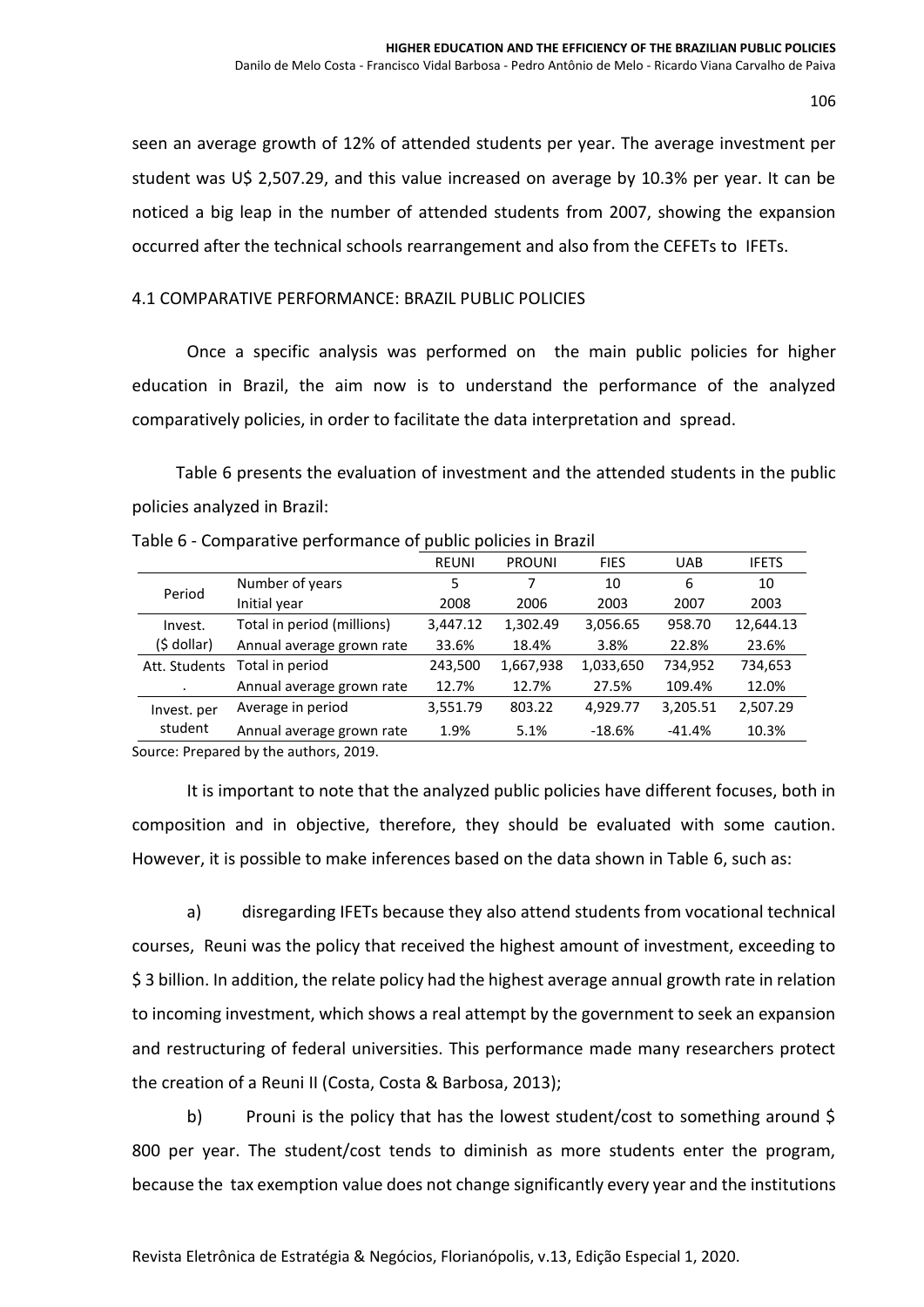seen an average growth of 12% of attended students per year. The average investment per student was U\$ 2,507.29, and this value increased on average by 10.3% per year. It can be noticed a big leap in the number of attended students from 2007, showing the expansion occurred after the technical schools rearrangement and also from the CEFETs to IFETs.

### 4.1 COMPARATIVE PERFORMANCE: BRAZIL PUBLIC POLICIES

Once a specific analysis was performed on the main public policies for higher education in Brazil, the aim now is to understand the performance of the analyzed comparatively policies, in order to facilitate the data interpretation and spread.

Table 6 presents the evaluation of investment and the attended students in the public policies analyzed in Brazil:

243,500 1,667,938 1,033,650 734,952 734,653

|             | Table o - Comparative performance or public policies in Brazil |              |               |             |            |              |
|-------------|----------------------------------------------------------------|--------------|---------------|-------------|------------|--------------|
|             |                                                                | <b>REUNI</b> | <b>PROUNI</b> | <b>FIES</b> | <b>UAB</b> | <b>IFETS</b> |
| Period      | Number of years                                                |              |               | 10          |            | 10           |
|             | Initial year                                                   | 2008         | 2006          | 2003        | 2007       | 2003         |
| Invest.     | Total in period (millions)                                     | 3.447.12     | 1.302.49      | 3,056.65    | 958.70     | 12,644.13    |
| (\$ dollar) | Annual average grown rate                                      | 33.6%        | 18.4%         | 3.8%        | 22.8%      | 23.6%        |

Table 6 - Comparative performance of public policies in Brazil

Att. Students Total in period

Source: Prepared by the authors, 2019.

.

student

composition and in objective, therefore, they should be evaluated with some caution. However, it is possible to make inferences based on the data shown in Table 6, such as: a) disregarding IFETs because they also attend students from vocational technical

Annual average grown rate 12.7% 12.7% 27.5% 109.4% 12.0%

Annual average grown rate 1.9% 5.1% -18.6% -41.4% 10.3%

It is important to note that the analyzed public policies have different focuses, both in

Invest. per Average in period 3,551.79 803.22 4,929.77 3,205.51 2,507.29

courses, Reuni was the policy that received the highest amount of investment, exceeding to \$ 3 billion. In addition, the relate policy had the highest average annual growth rate in relation to incoming investment, which shows a real attempt by the government to seek an expansion and restructuring of federal universities. This performance made many researchers protect the creation of a Reuni II (Costa, Costa & Barbosa, 2013);

b) Prouni is the policy that has the lowest student/cost to something around \$ 800 per year. The student/cost tends to diminish as more students enter the program, because the tax exemption value does not change significantly every year and the institutions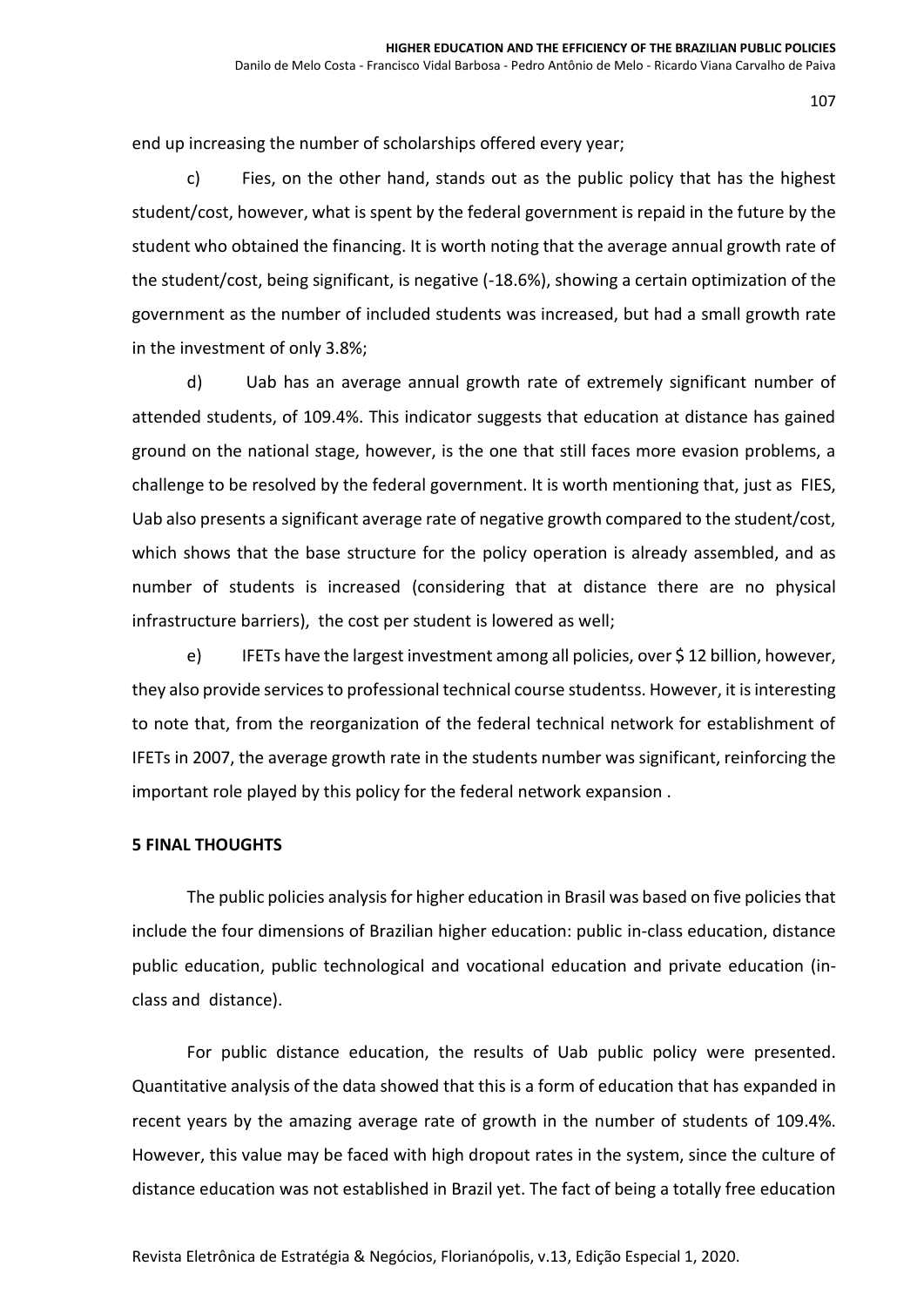end up increasing the number of scholarships offered every year;

c) Fies, on the other hand, stands out as the public policy that has the highest student/cost, however, what is spent by the federal government is repaid in the future by the student who obtained the financing. It is worth noting that the average annual growth rate of the student/cost, being significant, is negative (-18.6%), showing a certain optimization of the government as the number of included students was increased, but had a small growth rate in the investment of only 3.8%;

d) Uab has an average annual growth rate of extremely significant number of attended students, of 109.4%. This indicator suggests that education at distance has gained ground on the national stage, however, is the one that still faces more evasion problems, a challenge to be resolved by the federal government. It is worth mentioning that, just as FIES, Uab also presents a significant average rate of negative growth compared to the student/cost, which shows that the base structure for the policy operation is already assembled, and as number of students is increased (considering that at distance there are no physical infrastructure barriers), the cost per student is lowered as well;

e) IFETs have the largest investment among all policies, over \$12 billion, however, they also provide services to professional technical course studentss. However, it is interesting to note that, from the reorganization of the federal technical network for establishment of IFETs in 2007, the average growth rate in the students number was significant, reinforcing the important role played by this policy for the federal network expansion .

### **5 FINAL THOUGHTS**

The public policies analysisfor higher education in Brasil was based on five policies that include the four dimensions of Brazilian higher education: public in-class education, distance public education, public technological and vocational education and private education (inclass and distance).

For public distance education, the results of Uab public policy were presented. Quantitative analysis of the data showed that this is a form of education that has expanded in recent years by the amazing average rate of growth in the number of students of 109.4%. However, this value may be faced with high dropout rates in the system, since the culture of distance education was not established in Brazil yet. The fact of being a totally free education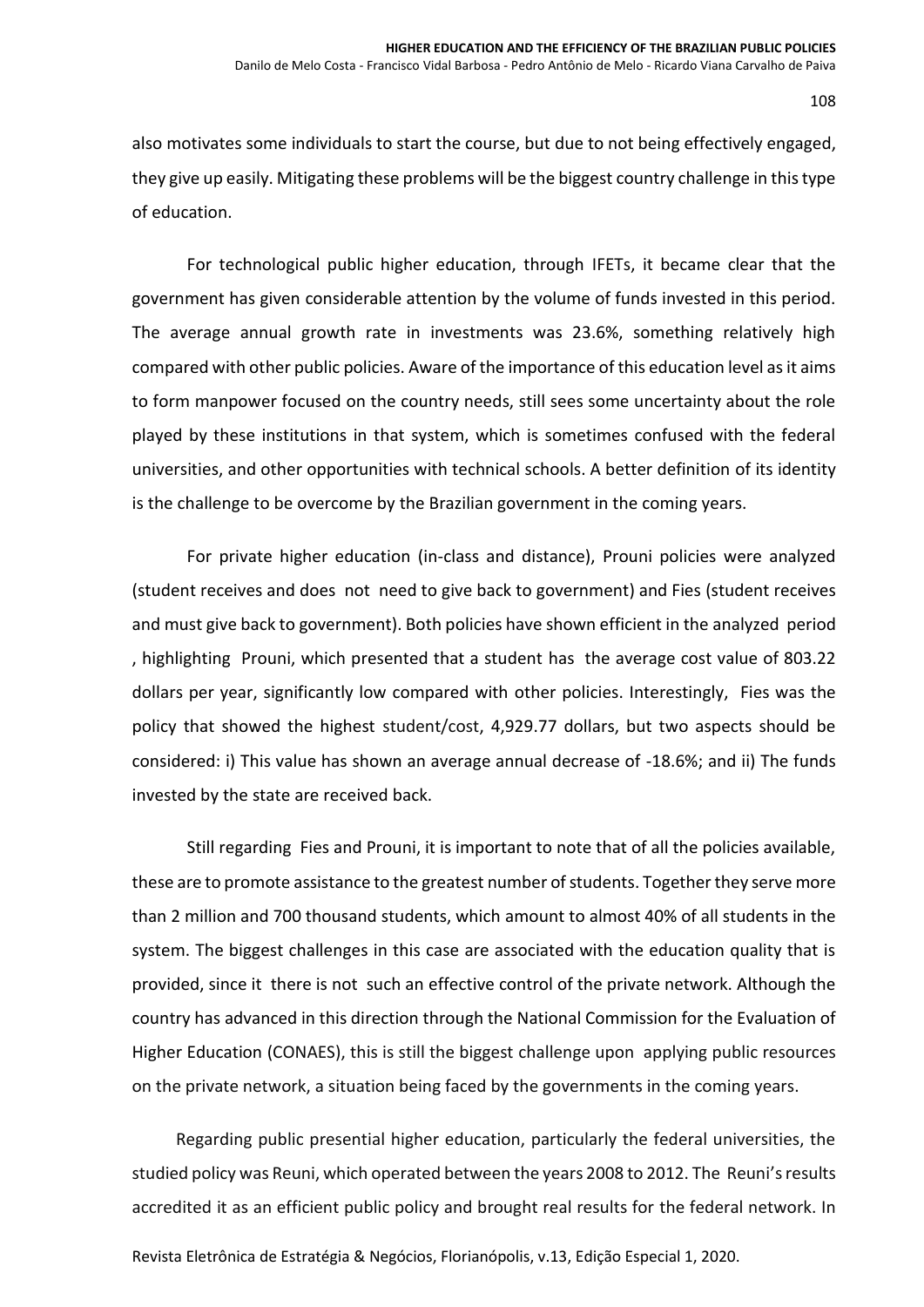also motivates some individuals to start the course, but due to not being effectively engaged, they give up easily. Mitigating these problems will be the biggest country challenge in this type of education.

For technological public higher education, through IFETs, it became clear that the government has given considerable attention by the volume of funds invested in this period. The average annual growth rate in investments was 23.6%, something relatively high compared with other public policies. Aware of the importance of this education level as it aims to form manpower focused on the country needs, still sees some uncertainty about the role played by these institutions in that system, which is sometimes confused with the federal universities, and other opportunities with technical schools. A better definition of its identity is the challenge to be overcome by the Brazilian government in the coming years.

For private higher education (in-class and distance), Prouni policies were analyzed (student receives and does not need to give back to government) and Fies (student receives and must give back to government). Both policies have shown efficient in the analyzed period , highlighting Prouni, which presented that a student has the average cost value of 803.22 dollars per year, significantly low compared with other policies. Interestingly, Fies was the policy that showed the highest student/cost, 4,929.77 dollars, but two aspects should be considered: i) This value has shown an average annual decrease of -18.6%; and ii) The funds invested by the state are received back.

Still regarding Fies and Prouni, it is important to note that of all the policies available, these are to promote assistance to the greatest number of students. Together they serve more than 2 million and 700 thousand students, which amount to almost 40% of all students in the system. The biggest challenges in this case are associated with the education quality that is provided, since it there is not such an effective control of the private network. Although the country has advanced in this direction through the National Commission for the Evaluation of Higher Education (CONAES), this is still the biggest challenge upon applying public resources on the private network, a situation being faced by the governments in the coming years.

Regarding public presential higher education, particularly the federal universities, the studied policy was Reuni, which operated between the years 2008 to 2012. The Reuni's results accredited it as an efficient public policy and brought real results for the federal network. In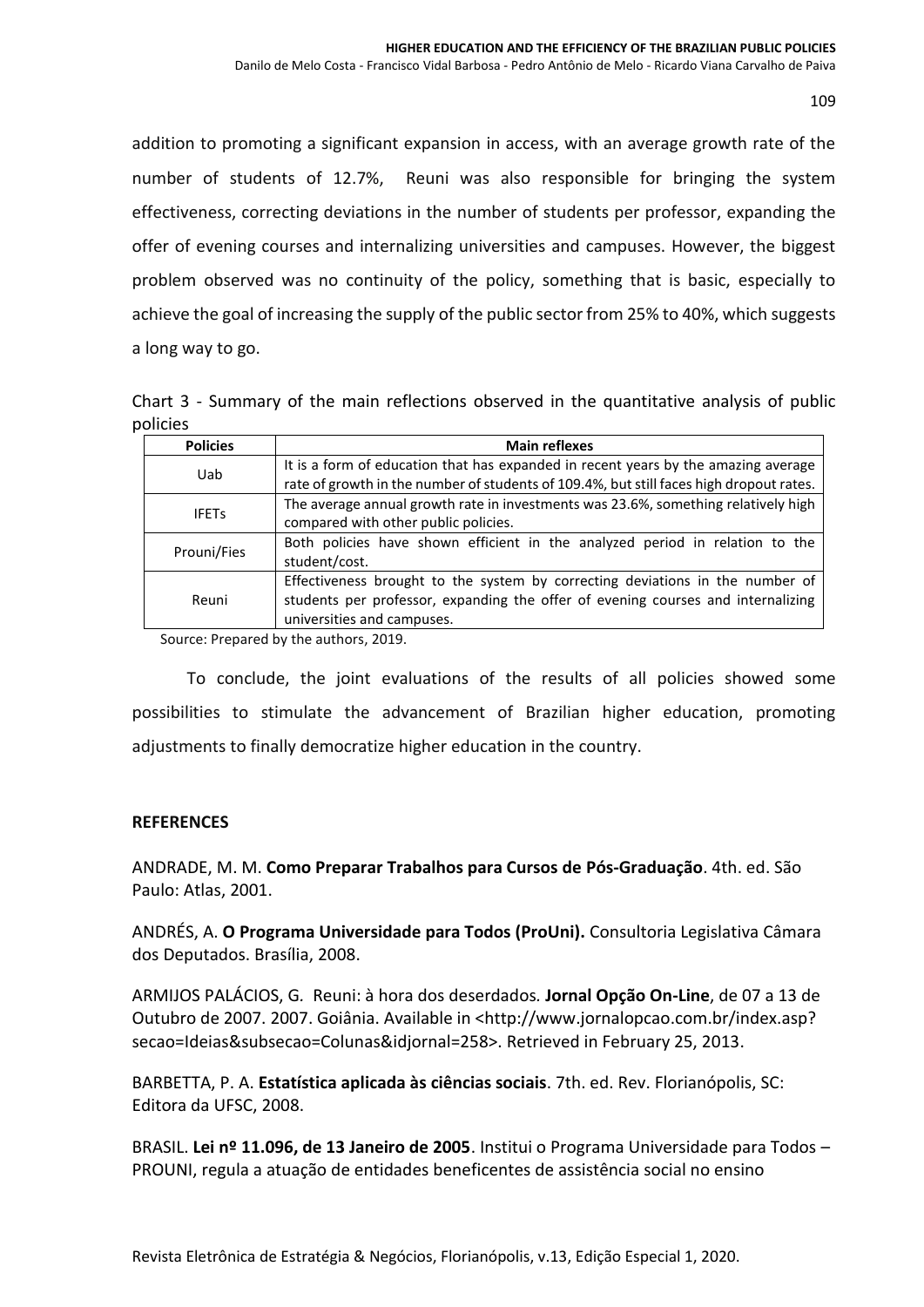addition to promoting a significant expansion in access, with an average growth rate of the number of students of 12.7%, Reuni was also responsible for bringing the system effectiveness, correcting deviations in the number of students per professor, expanding the offer of evening courses and internalizing universities and campuses. However, the biggest problem observed was no continuity of the policy, something that is basic, especially to achieve the goal of increasing the supply of the public sector from 25% to 40%, which suggests a long way to go.

Chart 3 - Summary of the main reflections observed in the quantitative analysis of public policies

| <b>Policies</b> | <b>Main reflexes</b>                                                                                                                                                                            |
|-----------------|-------------------------------------------------------------------------------------------------------------------------------------------------------------------------------------------------|
| Uab             | It is a form of education that has expanded in recent years by the amazing average<br>rate of growth in the number of students of 109.4%, but still faces high dropout rates.                   |
| <b>IFETs</b>    | The average annual growth rate in investments was 23.6%, something relatively high<br>compared with other public policies.                                                                      |
| Prouni/Fies     | Both policies have shown efficient in the analyzed period in relation to the<br>student/cost.                                                                                                   |
| Reuni           | Effectiveness brought to the system by correcting deviations in the number of<br>students per professor, expanding the offer of evening courses and internalizing<br>universities and campuses. |

Source: Prepared by the authors, 2019.

To conclude, the joint evaluations of the results of all policies showed some possibilities to stimulate the advancement of Brazilian higher education, promoting adjustments to finally democratize higher education in the country.

# **REFERENCES**

ANDRADE, M. M. **Como Preparar Trabalhos para Cursos de Pós-Graduação**. 4th. ed. São Paulo: Atlas, 2001.

ANDRÉS, A. **O Programa Universidade para Todos (ProUni).** Consultoria Legislativa Câmara dos Deputados. Brasília, 2008.

ARMIJOS PALÁCIOS, G*.* Reuni: à hora dos deserdados*.* **Jornal Opção On-Line**, de 07 a 13 de Outubro de 2007. 2007. Goiânia. Available in <http://www.jornalopcao.com.br/index.asp? secao=Ideias&subsecao=Colunas&idjornal=258>. Retrieved in February 25, 2013.

BARBETTA, P. A. **Estatística aplicada às ciências sociais**. 7th. ed. Rev. Florianópolis, SC: Editora da UFSC, 2008.

BRASIL. **Lei nº 11.096, de 13 Janeiro de 2005**. Institui o Programa Universidade para Todos – PROUNI, regula a atuação de entidades beneficentes de assistência social no ensino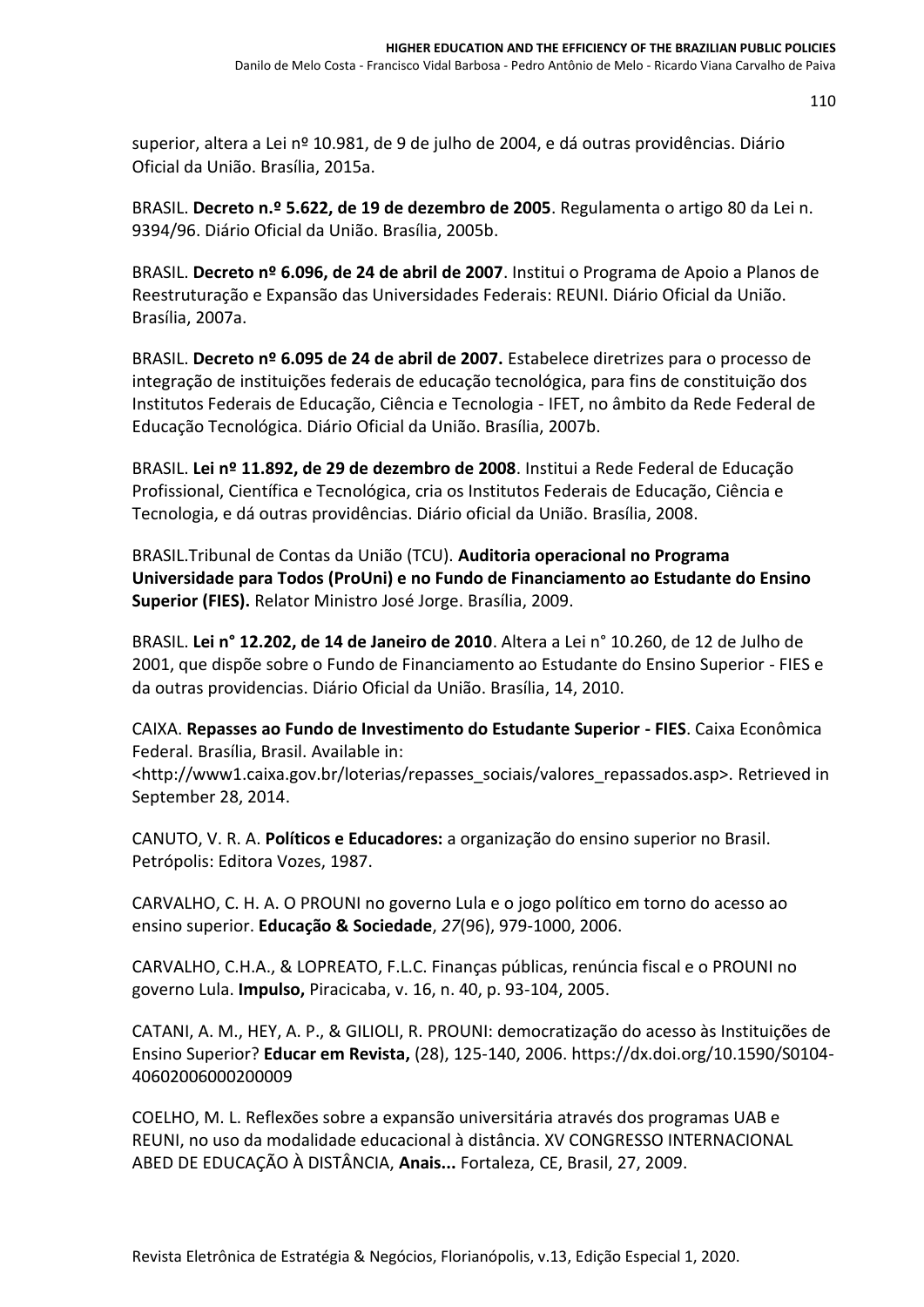superior, altera a Lei nº 10.981, de 9 de julho de 2004, e dá outras providências. Diário Oficial da União. Brasília, 2015a.

BRASIL. **Decreto n.º 5.622, de 19 de dezembro de 2005**. Regulamenta o artigo 80 da Lei n. 9394/96. Diário Oficial da União. Brasília, 2005b.

BRASIL. **Decreto nº 6.096, de 24 de abril de 2007**. Institui o Programa de Apoio a Planos de Reestruturação e Expansão das Universidades Federais: REUNI. Diário Oficial da União. Brasília, 2007a.

BRASIL. **Decreto nº 6.095 de 24 de abril de 2007.** Estabelece diretrizes para o processo de integração de instituições federais de educação tecnológica, para fins de constituição dos Institutos Federais de Educação, Ciência e Tecnologia - IFET, no âmbito da Rede Federal de Educação Tecnológica. Diário Oficial da União. Brasília, 2007b.

BRASIL. **Lei nº 11.892, de 29 de dezembro de 2008**. Institui a Rede Federal de Educação Profissional, Científica e Tecnológica, cria os Institutos Federais de Educação, Ciência e Tecnologia, e dá outras providências. Diário oficial da União. Brasília, 2008.

BRASIL.Tribunal de Contas da União (TCU). **Auditoria operacional no Programa Universidade para Todos (ProUni) e no Fundo de Financiamento ao Estudante do Ensino Superior (FIES).** Relator Ministro José Jorge. Brasília, 2009.

BRASIL. **Lei n° 12.202, de 14 de Janeiro de 2010**. Altera a Lei n° 10.260, de 12 de Julho de 2001, que dispõe sobre o Fundo de Financiamento ao Estudante do Ensino Superior - FIES e da outras providencias. Diário Oficial da União. Brasília, 14, 2010.

CAIXA. **Repasses ao Fundo de Investimento do Estudante Superior - FIES**. Caixa Econômica Federal. Brasília, Brasil. Available in:

<http://www1.caixa.gov.br/loterias/repasses\_sociais/valores\_repassados.asp>. Retrieved in September 28, 2014.

CANUTO, V. R. A. **Políticos e Educadores:** a organização do ensino superior no Brasil. Petrópolis: Editora Vozes, 1987.

CARVALHO, C. H. A. O PROUNI no governo Lula e o jogo político em torno do acesso ao ensino superior. **Educação & Sociedade**, *27*(96), 979-1000, 2006.

CARVALHO, C.H.A., & LOPREATO, F.L.C. Finanças públicas, renúncia fiscal e o PROUNI no governo Lula. **Impulso,** Piracicaba, v. 16, n. 40, p. 93-104, 2005.

CATANI, A. M., HEY, A. P., & GILIOLI, R. PROUNI: democratização do acesso às Instituições de Ensino Superior? **Educar em Revista,** (28), 125-140, 2006. [https://dx.doi.org/10.1590/S0104-](https://dx.doi.org/10.1590/S0104-40602006000200009) [40602006000200009](https://dx.doi.org/10.1590/S0104-40602006000200009)

COELHO, M. L. Reflexões sobre a expansão universitária através dos programas UAB e REUNI, no uso da modalidade educacional à distância. XV CONGRESSO INTERNACIONAL ABED DE EDUCAÇÃO À DISTÂNCIA, **Anais...** Fortaleza, CE, Brasil, 27, 2009.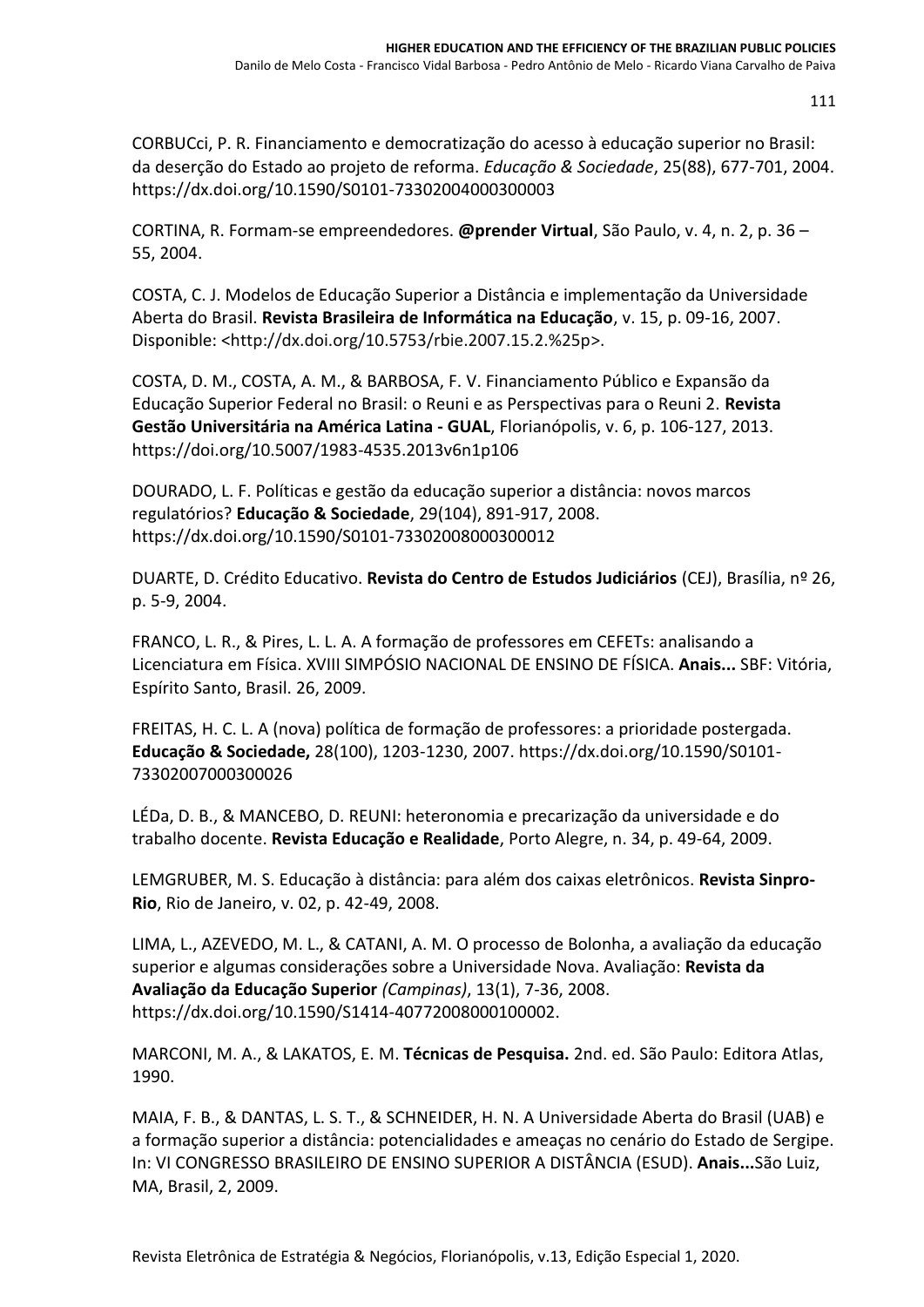CORBUCci, P. R. Financiamento e democratização do acesso à educação superior no Brasil: da deserção do Estado ao projeto de reforma. *Educação & Sociedade*, 25(88), 677-701, 2004. <https://dx.doi.org/10.1590/S0101-73302004000300003>

CORTINA, R. Formam-se empreendedores. **@prender Virtual**, São Paulo, v. 4, n. 2, p. 36 – 55, 2004.

COSTA, C. J. Modelos de Educação Superior a Distância e implementação da Universidade Aberta do Brasil. **Revista Brasileira de Informática na Educação**, v. 15, p. 09-16, 2007. Disponible: <http://dx.doi.org/10.5753/rbie.2007.15.2.%25p>.

COSTA, D. M., COSTA, A. M., & BARBOSA, F. V. Financiamento Público e Expansão da Educação Superior Federal no Brasil: o Reuni e as Perspectivas para o Reuni 2. **Revista Gestão Universitária na América Latina - GUAL**, Florianópolis, v. 6, p. 106-127, 2013. <https://doi.org/10.5007/1983-4535.2013v6n1p106>

DOURADO, L. F. Políticas e gestão da educação superior a distância: novos marcos regulatórios? **Educação & Sociedade**, 29(104), 891-917, 2008. <https://dx.doi.org/10.1590/S0101-73302008000300012>

DUARTE, D. Crédito Educativo. **Revista do Centro de Estudos Judiciários** (CEJ), Brasília, nº 26, p. 5-9, 2004.

FRANCO, L. R., & Pires, L. L. A. A formação de professores em CEFETs: analisando a Licenciatura em Física. XVIII SIMPÓSIO NACIONAL DE ENSINO DE FÍSICA. **Anais...** SBF: Vitória, Espírito Santo, Brasil. 26, 2009.

FREITAS, H. C. L. A (nova) política de formação de professores: a prioridade postergada. **Educação & Sociedade,** 28(100), 1203-1230, 2007. [https://dx.doi.org/10.1590/S0101-](https://dx.doi.org/10.1590/S0101-73302007000300026) [73302007000300026](https://dx.doi.org/10.1590/S0101-73302007000300026)

LÉDa, D. B., & MANCEBO, D. REUNI: heteronomia e precarização da universidade e do trabalho docente. **Revista Educação e Realidade**, Porto Alegre, n. 34, p. 49-64, 2009.

LEMGRUBER, M. S. Educação à distância: para além dos caixas eletrônicos. **Revista Sinpro-Rio**, Rio de Janeiro, v. 02, p. 42-49, 2008.

LIMA, L., AZEVEDO, M. L., & CATANI, A. M. O processo de Bolonha, a avaliação da educação superior e algumas considerações sobre a Universidade Nova. Avaliação: **Revista da Avaliação da Educação Superior** *(Campinas)*, 13(1), 7-36, 2008. [https://dx.doi.org/10.1590/S1414-40772008000100002.](https://dx.doi.org/10.1590/S1414-40772008000100002)

MARCONI, M. A., & LAKATOS, E. M. **Técnicas de Pesquisa.** 2nd. ed. São Paulo: Editora Atlas, 1990.

MAIA, F. B., & DANTAS, L. S. T., & SCHNEIDER, H. N. A Universidade Aberta do Brasil (UAB) e a formação superior a distância: potencialidades e ameaças no cenário do Estado de Sergipe. In: VI CONGRESSO BRASILEIRO DE ENSINO SUPERIOR A DISTÂNCIA (ESUD). **Anais...**São Luiz, MA, Brasil, 2, 2009.

Revista Eletrônica de Estratégia & Negócios, Florianópolis, v.13, Edição Especial 1, 2020.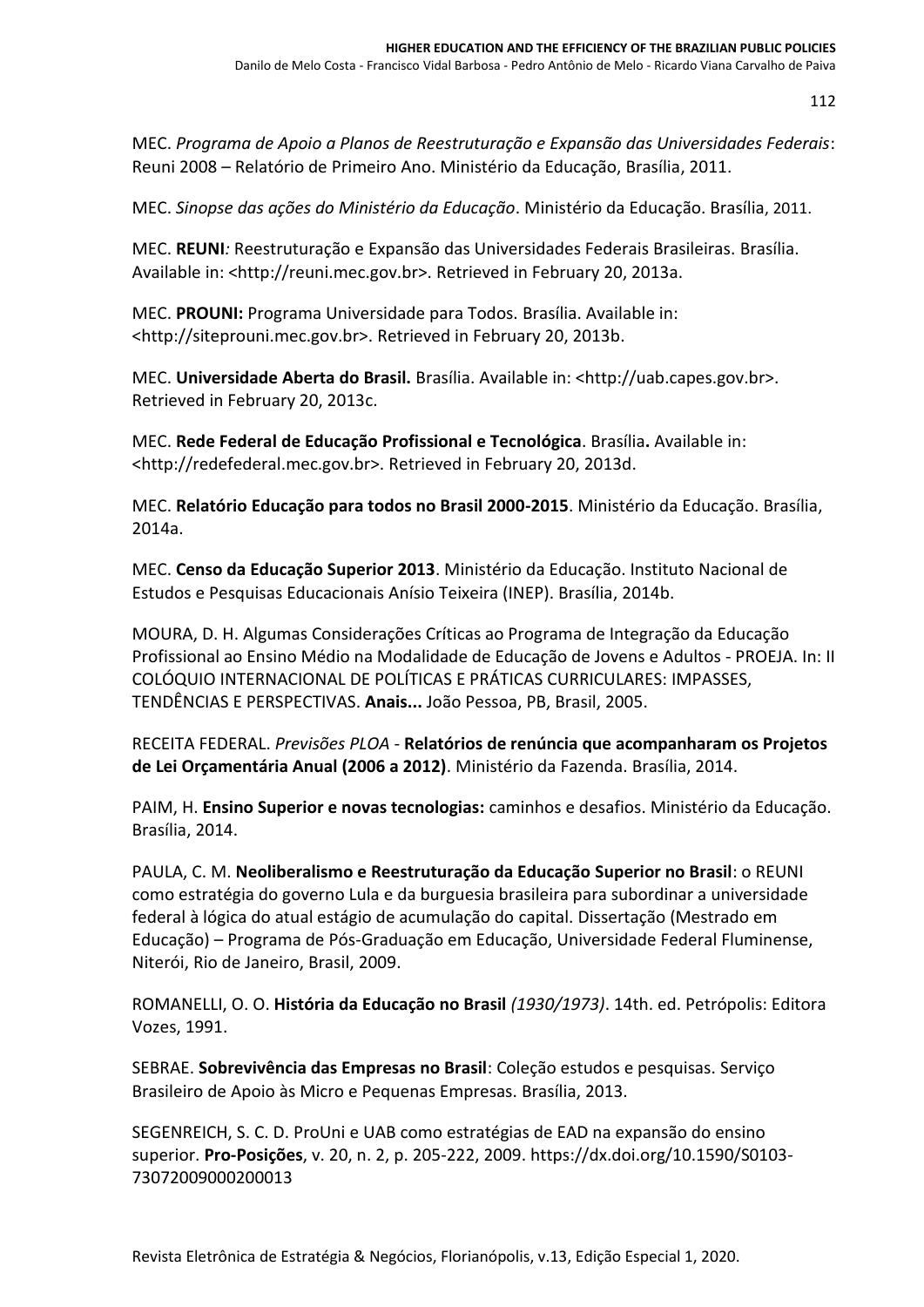MEC. *Programa de Apoio a Planos de Reestruturação e Expansão das Universidades Federais*: Reuni 2008 – Relatório de Primeiro Ano. Ministério da Educação, Brasília, 2011.

MEC. *Sinopse das ações do Ministério da Educação*. Ministério da Educação. Brasília, 2011.

MEC. **REUNI***:* Reestruturação e Expansão das Universidades Federais Brasileiras. Brasília. Available in: <http://reuni.mec.gov.br>. Retrieved in February 20, 2013a.

MEC. **PROUNI:** Programa Universidade para Todos. Brasília. Available in: <http://siteprouni.mec.gov.br>. Retrieved in February 20, 2013b.

MEC. **Universidade Aberta do Brasil.** Brasília. Available in: <http://uab.capes.gov.br>. Retrieved in February 20, 2013c.

MEC. **Rede Federal de Educação Profissional e Tecnológica**. Brasília**.** Available in: <http://redefederal.mec.gov.br>. Retrieved in February 20, 2013d.

MEC. **Relatório Educação para todos no Brasil 2000-2015**. Ministério da Educação. Brasília, 2014a.

MEC. **Censo da Educação Superior 2013**. Ministério da Educação. Instituto Nacional de Estudos e Pesquisas Educacionais Anísio Teixeira (INEP). Brasília, 2014b.

MOURA, D. H. Algumas Considerações Críticas ao Programa de Integração da Educação Profissional ao Ensino Médio na Modalidade de Educação de Jovens e Adultos - PROEJA. In: II COLÓQUIO INTERNACIONAL DE POLÍTICAS E PRÁTICAS CURRICULARES: IMPASSES, TENDÊNCIAS E PERSPECTIVAS. **Anais...** João Pessoa, PB, Brasil, 2005.

RECEITA FEDERAL. *Previsões PLOA -* **Relatórios de renúncia que acompanharam os Projetos de Lei Orçamentária Anual (2006 a 2012)**. Ministério da Fazenda. Brasília, 2014.

PAIM, H. **Ensino Superior e novas tecnologias:** caminhos e desafios. Ministério da Educação. Brasília, 2014.

PAULA, C. M. **Neoliberalismo e Reestruturação da Educação Superior no Brasil**: o REUNI como estratégia do governo Lula e da burguesia brasileira para subordinar a universidade federal à lógica do atual estágio de acumulação do capital. Dissertação (Mestrado em Educação) – Programa de Pós-Graduação em Educação, Universidade Federal Fluminense, Niterói, Rio de Janeiro, Brasil, 2009.

ROMANELLI, O. O. **História da Educação no Brasil** *(1930/1973)*. 14th. ed. Petrópolis: Editora Vozes, 1991.

SEBRAE. **Sobrevivência das Empresas no Brasil**: Coleção estudos e pesquisas. Serviço Brasileiro de Apoio às Micro e Pequenas Empresas. Brasília, 2013.

SEGENREICH, S. C. D. ProUni e UAB como estratégias de EAD na expansão do ensino superior. **Pro-Posições**, v. 20, n. 2, p. 205-222, 2009[. https://dx.doi.org/10.1590/S0103-](https://dx.doi.org/10.1590/S0103-73072009000200013) [73072009000200013](https://dx.doi.org/10.1590/S0103-73072009000200013)